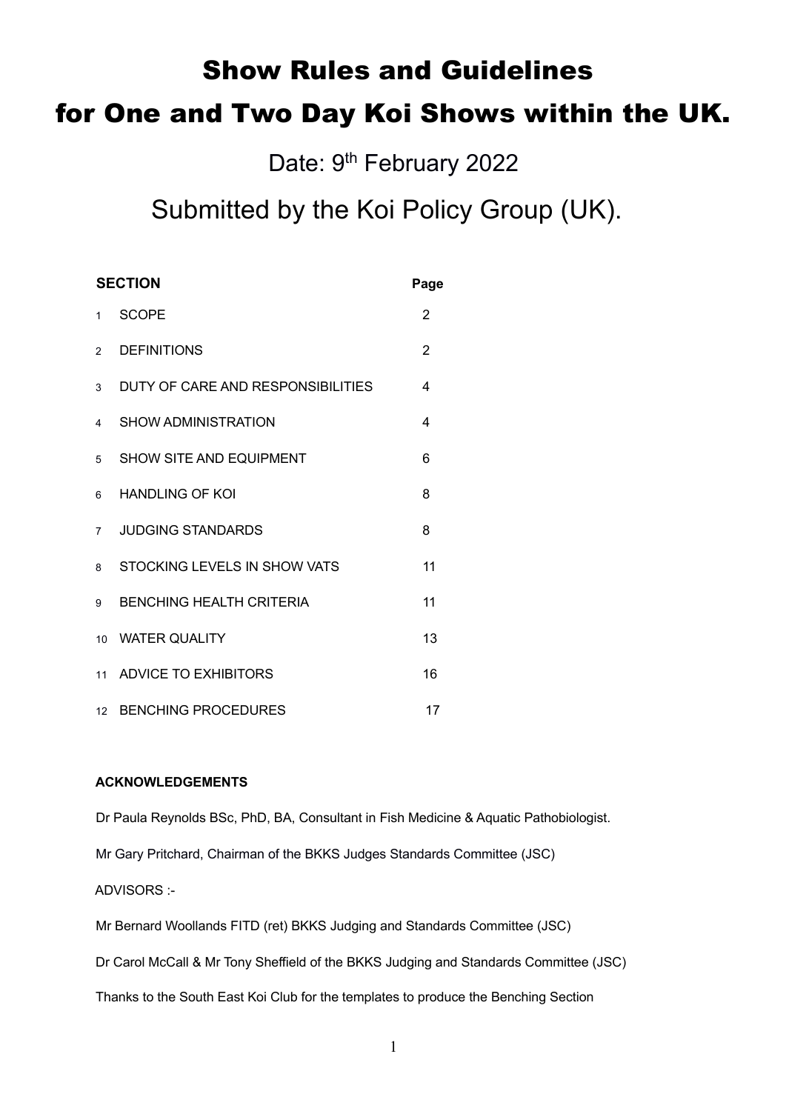# Show Rules and Guidelines

# for One and Two Day Koi Shows within the UK.

Date: 9<sup>th</sup> February 2022

# Submitted by the Koi Policy Group (UK).

| <b>SECTION</b> |                                   | Page           |
|----------------|-----------------------------------|----------------|
| 1              | <b>SCOPE</b>                      | 2              |
| $\mathfrak{D}$ | <b>DEFINITIONS</b>                | $\overline{2}$ |
| 3              | DUTY OF CARE AND RESPONSIBILITIES | 4              |
| 4              | SHOW ADMINISTRATION               | 4              |
| 5              | <b>SHOW SITE AND EQUIPMENT</b>    | 6              |
| 6              | <b>HANDLING OF KOI</b>            | 8              |
| $\overline{7}$ | <b>JUDGING STANDARDS</b>          | 8              |
| 8              | STOCKING LEVELS IN SHOW VATS      | 11             |
| 9              | <b>BENCHING HEALTH CRITERIA</b>   | 11             |
| 10             | <b>WATER QUALITY</b>              | 13             |
| 11             | <b>ADVICE TO EXHIBITORS</b>       | 16             |
| 12             | <b>BENCHING PROCEDURES</b>        | 17             |

# **ACKNOWLEDGEMENTS**

Dr Paula Reynolds BSc, PhD, BA, Consultant in Fish Medicine & Aquatic Pathobiologist.

Mr Gary Pritchard, Chairman of the BKKS Judges Standards Committee (JSC)

ADVISORS :-

Mr Bernard Woollands FITD (ret) BKKS Judging and Standards Committee (JSC)

Dr Carol McCall & Mr Tony Sheffield of the BKKS Judging and Standards Committee (JSC)

Thanks to the South East Koi Club for the templates to produce the Benching Section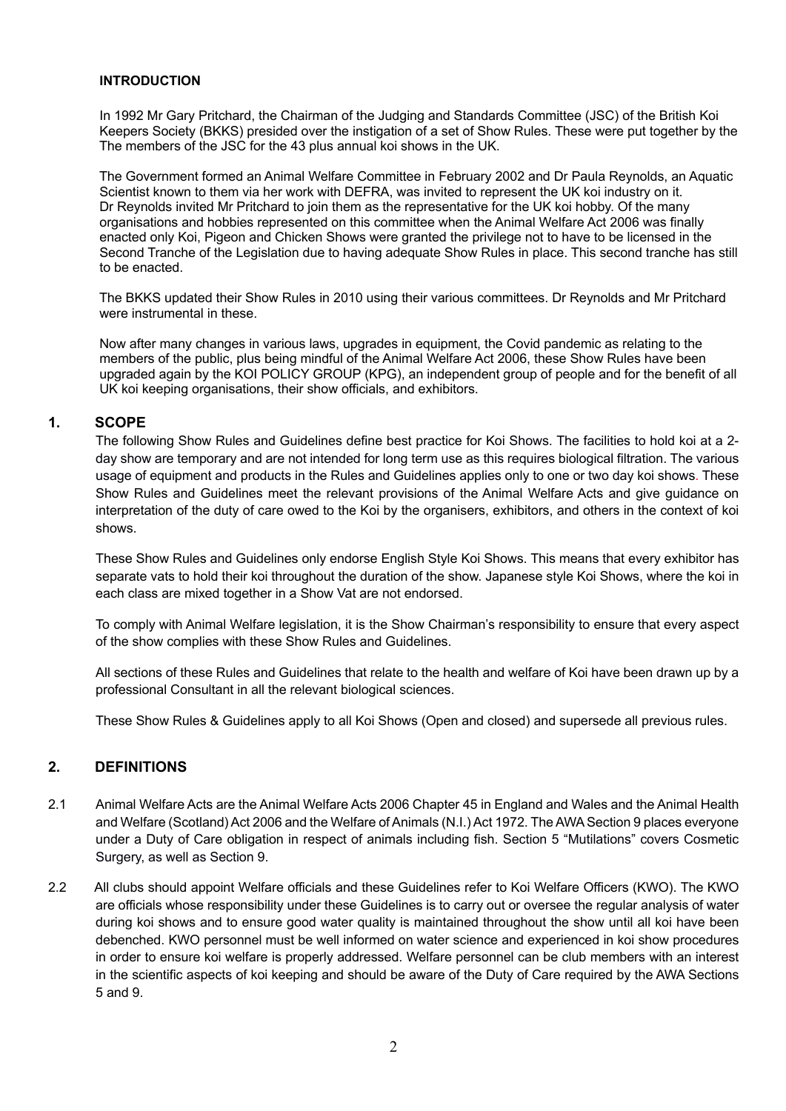#### **INTRODUCTION**

 In 1992 Mr Gary Pritchard, the Chairman of the Judging and Standards Committee (JSC) of the British Koi Keepers Society (BKKS) presided over the instigation of a set of Show Rules. These were put together by the The members of the JSC for the 43 plus annual koi shows in the UK.

 The Government formed an Animal Welfare Committee in February 2002 and Dr Paula Reynolds, an Aquatic Scientist known to them via her work with DEFRA, was invited to represent the UK koi industry on it. Dr Reynolds invited Mr Pritchard to join them as the representative for the UK koi hobby. Of the many organisations and hobbies represented on this committee when the Animal Welfare Act 2006 was finally enacted only Koi, Pigeon and Chicken Shows were granted the privilege not to have to be licensed in the Second Tranche of the Legislation due to having adequate Show Rules in place. This second tranche has still to be enacted.

 The BKKS updated their Show Rules in 2010 using their various committees. Dr Reynolds and Mr Pritchard were instrumental in these.

 Now after many changes in various laws, upgrades in equipment, the Covid pandemic as relating to the members of the public, plus being mindful of the Animal Welfare Act 2006, these Show Rules have been upgraded again by the KOI POLICY GROUP (KPG), an independent group of people and for the benefit of all UK koi keeping organisations, their show officials, and exhibitors.

#### **1. SCOPE**

The following Show Rules and Guidelines define best practice for Koi Shows. The facilities to hold koi at a 2 day show are temporary and are not intended for long term use as this requires biological filtration. The various usage of equipment and products in the Rules and Guidelines applies only to one or two day koi shows. These Show Rules and Guidelines meet the relevant provisions of the Animal Welfare Acts and give guidance on interpretation of the duty of care owed to the Koi by the organisers, exhibitors, and others in the context of koi shows.

These Show Rules and Guidelines only endorse English Style Koi Shows. This means that every exhibitor has separate vats to hold their koi throughout the duration of the show. Japanese style Koi Shows, where the koi in each class are mixed together in a Show Vat are not endorsed.

To comply with Animal Welfare legislation, it is the Show Chairman's responsibility to ensure that every aspect of the show complies with these Show Rules and Guidelines.

 All sections of these Rules and Guidelines that relate to the health and welfare of Koi have been drawn up by a professional Consultant in all the relevant biological sciences.

These Show Rules & Guidelines apply to all Koi Shows (Open and closed) and supersede all previous rules.

### **2. DEFINITIONS**

- 2.1 Animal Welfare Acts are the Animal Welfare Acts 2006 Chapter 45 in England and Wales and the Animal Health and Welfare (Scotland) Act 2006 and the Welfare of Animals (N.I.) Act 1972. The AWA Section 9 places everyone under a Duty of Care obligation in respect of animals including fish. Section 5 "Mutilations" covers Cosmetic Surgery, as well as Section 9.
- 2.2 All clubs should appoint Welfare officials and these Guidelines refer to Koi Welfare Officers (KWO). The KWO are officials whose responsibility under these Guidelines is to carry out or oversee the regular analysis of water during koi shows and to ensure good water quality is maintained throughout the show until all koi have been debenched. KWO personnel must be well informed on water science and experienced in koi show procedures in order to ensure koi welfare is properly addressed. Welfare personnel can be club members with an interest in the scientific aspects of koi keeping and should be aware of the Duty of Care required by the AWA Sections 5 and 9.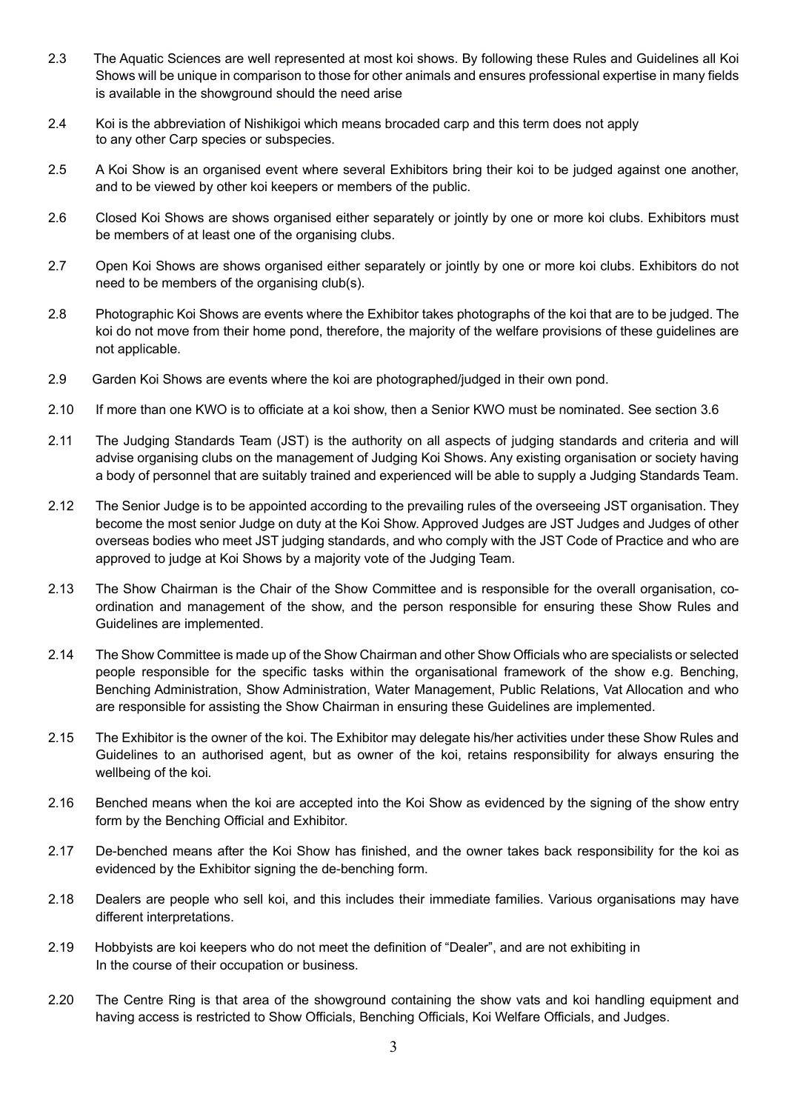- 2.3 The Aquatic Sciences are well represented at most koi shows. By following these Rules and Guidelines all Koi Shows will be unique in comparison to those for other animals and ensures professional expertise in many fields is available in the showground should the need arise
- 2.4 Koi is the abbreviation of Nishikigoi which means brocaded carp and this term does not apply to any other Carp species or subspecies.
- 2.5 A Koi Show is an organised event where several Exhibitors bring their koi to be judged against one another, and to be viewed by other koi keepers or members of the public.
- 2.6 Closed Koi Shows are shows organised either separately or jointly by one or more koi clubs. Exhibitors must be members of at least one of the organising clubs.
- 2.7 Open Koi Shows are shows organised either separately or jointly by one or more koi clubs. Exhibitors do not need to be members of the organising club(s).
- 2.8 Photographic Koi Shows are events where the Exhibitor takes photographs of the koi that are to be judged. The koi do not move from their home pond, therefore, the majority of the welfare provisions of these guidelines are not applicable.
- 2.9 Garden Koi Shows are events where the koi are photographed/judged in their own pond.
- 2.10 If more than one KWO is to officiate at a koi show, then a Senior KWO must be nominated. See section 3.6
- 2.11 The Judging Standards Team (JST) is the authority on all aspects of judging standards and criteria and will advise organising clubs on the management of Judging Koi Shows. Any existing organisation or society having a body of personnel that are suitably trained and experienced will be able to supply a Judging Standards Team.
- 2.12 The Senior Judge is to be appointed according to the prevailing rules of the overseeing JST organisation. They become the most senior Judge on duty at the Koi Show. Approved Judges are JST Judges and Judges of other overseas bodies who meet JST judging standards, and who comply with the JST Code of Practice and who are approved to judge at Koi Shows by a majority vote of the Judging Team.
- 2.13 The Show Chairman is the Chair of the Show Committee and is responsible for the overall organisation, coordination and management of the show, and the person responsible for ensuring these Show Rules and Guidelines are implemented.
- 2.14 The Show Committee is made up of the Show Chairman and other Show Officials who are specialists or selected people responsible for the specific tasks within the organisational framework of the show e.g. Benching, Benching Administration, Show Administration, Water Management, Public Relations, Vat Allocation and who are responsible for assisting the Show Chairman in ensuring these Guidelines are implemented.
- 2.15 The Exhibitor is the owner of the koi. The Exhibitor may delegate his/her activities under these Show Rules and Guidelines to an authorised agent, but as owner of the koi, retains responsibility for always ensuring the wellbeing of the koi.
- 2.16 Benched means when the koi are accepted into the Koi Show as evidenced by the signing of the show entry form by the Benching Official and Exhibitor.
- 2.17 De-benched means after the Koi Show has finished, and the owner takes back responsibility for the koi as evidenced by the Exhibitor signing the de-benching form.
- 2.18 Dealers are people who sell koi, and this includes their immediate families. Various organisations may have different interpretations.
- 2.19 Hobbyists are koi keepers who do not meet the definition of "Dealer", and are not exhibiting in In the course of their occupation or business.
- 2.20 The Centre Ring is that area of the showground containing the show vats and koi handling equipment and having access is restricted to Show Officials, Benching Officials, Koi Welfare Officials, and Judges.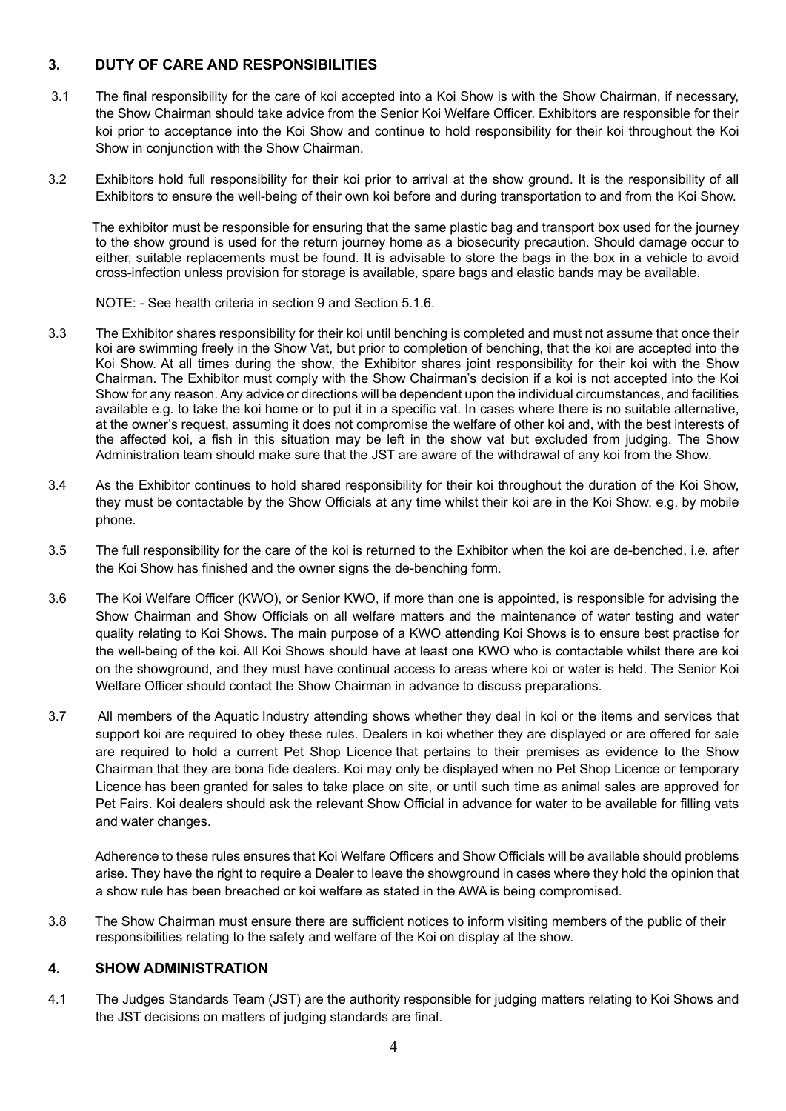# **3. DUTY OF CARE AND RESPONSIBILITIES**

- 3.1 The final responsibility for the care of koi accepted into a Koi Show is with the Show Chairman, if necessary, the Show Chairman should take advice from the Senior Koi Welfare Officer. Exhibitors are responsible for their koi prior to acceptance into the Koi Show and continue to hold responsibility for their koi throughout the Koi Show in conjunction with the Show Chairman.
- 3.2 Exhibitors hold full responsibility for their koi prior to arrival at the show ground. It is the responsibility of all Exhibitors to ensure the well-being of their own koi before and during transportation to and from the Koi Show.

 The exhibitor must be responsible for ensuring that the same plastic bag and transport box used for the journey to the show ground is used for the return journey home as a biosecurity precaution. Should damage occur to either, suitable replacements must be found. It is advisable to store the bags in the box in a vehicle to avoid cross-infection unless provision for storage is available, spare bags and elastic bands may be available.

NOTE: - See health criteria in section 9 and Section 5.1.6.

- 3.3 The Exhibitor shares responsibility for their koi until benching is completed and must not assume that once their koi are swimming freely in the Show Vat, but prior to completion of benching, that the koi are accepted into the Koi Show. At all times during the show, the Exhibitor shares joint responsibility for their koi with the Show Chairman. The Exhibitor must comply with the Show Chairman's decision if a koi is not accepted into the Koi Show for any reason. Any advice or directions will be dependent upon the individual circumstances, and facilities available e.g. to take the koi home or to put it in a specific vat. In cases where there is no suitable alternative, at the owner's request, assuming it does not compromise the welfare of other koi and, with the best interests of the affected koi, a fish in this situation may be left in the show vat but excluded from judging. The Show Administration team should make sure that the JST are aware of the withdrawal of any koi from the Show.
- 3.4 As the Exhibitor continues to hold shared responsibility for their koi throughout the duration of the Koi Show, they must be contactable by the Show Officials at any time whilst their koi are in the Koi Show, e.g. by mobile phone.
- 3.5 The full responsibility for the care of the koi is returned to the Exhibitor when the koi are de-benched, i.e. after the Koi Show has finished and the owner signs the de-benching form.
- 3.6 The Koi Welfare Officer (KWO), or Senior KWO, if more than one is appointed, is responsible for advising the Show Chairman and Show Officials on all welfare matters and the maintenance of water testing and water quality relating to Koi Shows. The main purpose of a KWO attending Koi Shows is to ensure best practise for the well-being of the koi. All Koi Shows should have at least one KWO who is contactable whilst there are koi on the showground, and they must have continual access to areas where koi or water is held. The Senior Koi Welfare Officer should contact the Show Chairman in advance to discuss preparations.
- 3.7 All members of the Aquatic Industry attending shows whether they deal in koi or the items and services that support koi are required to obey these rules. Dealers in koi whether they are displayed or are offered for sale are required to hold a current Pet Shop Licence that pertains to their premises as evidence to the Show Chairman that they are bona fide dealers. Koi may only be displayed when no Pet Shop Licence or temporary Licence has been granted for sales to take place on site, or until such time as animal sales are approved for Pet Fairs. Koi dealers should ask the relevant Show Official in advance for water to be available for filling vats and water changes.

 Adherence to these rules ensures that Koi Welfare Officers and Show Officials will be available should problems arise. They have the right to require a Dealer to leave the showground in cases where they hold the opinion that a show rule has been breached or koi welfare as stated in the AWA is being compromised.

3.8 The Show Chairman must ensure there are sufficient notices to inform visiting members of the public of their responsibilities relating to the safety and welfare of the Koi on display at the show.

# **4. SHOW ADMINISTRATION**

4.1 The Judges Standards Team (JST) are the authority responsible for judging matters relating to Koi Shows and the JST decisions on matters of judging standards are final.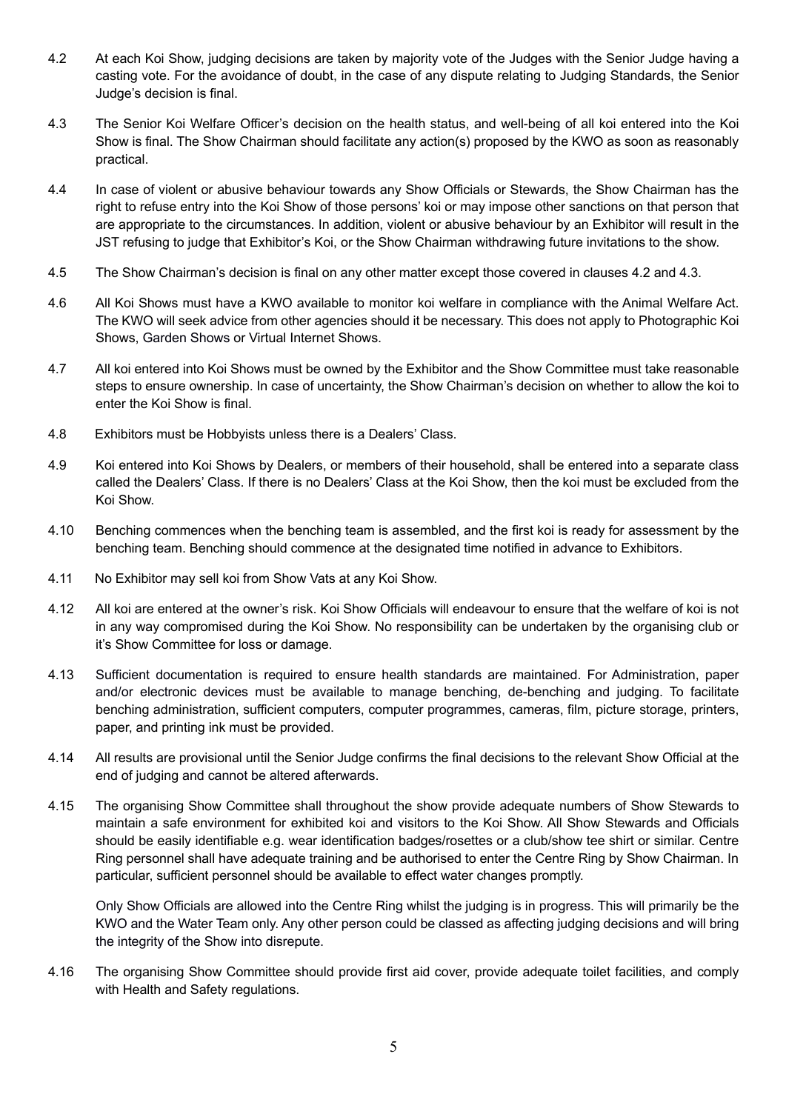- 4.2 At each Koi Show, judging decisions are taken by majority vote of the Judges with the Senior Judge having a casting vote. For the avoidance of doubt, in the case of any dispute relating to Judging Standards, the Senior Judge's decision is final.
- 4.3 The Senior Koi Welfare Officer's decision on the health status, and well-being of all koi entered into the Koi Show is final. The Show Chairman should facilitate any action(s) proposed by the KWO as soon as reasonably practical.
- 4.4 In case of violent or abusive behaviour towards any Show Officials or Stewards, the Show Chairman has the right to refuse entry into the Koi Show of those persons' koi or may impose other sanctions on that person that are appropriate to the circumstances. In addition, violent or abusive behaviour by an Exhibitor will result in the JST refusing to judge that Exhibitor's Koi, or the Show Chairman withdrawing future invitations to the show.
- 4.5 The Show Chairman's decision is final on any other matter except those covered in clauses 4.2 and 4.3.
- 4.6 All Koi Shows must have a KWO available to monitor koi welfare in compliance with the Animal Welfare Act. The KWO will seek advice from other agencies should it be necessary. This does not apply to Photographic Koi Shows, Garden Shows or Virtual Internet Shows.
- 4.7 All koi entered into Koi Shows must be owned by the Exhibitor and the Show Committee must take reasonable steps to ensure ownership. In case of uncertainty, the Show Chairman's decision on whether to allow the koi to enter the Koi Show is final.
- 4.8 Exhibitors must be Hobbyists unless there is a Dealers' Class.
- 4.9 Koi entered into Koi Shows by Dealers, or members of their household, shall be entered into a separate class called the Dealers' Class. If there is no Dealers' Class at the Koi Show, then the koi must be excluded from the Koi Show.
- 4.10 Benching commences when the benching team is assembled, and the first koi is ready for assessment by the benching team. Benching should commence at the designated time notified in advance to Exhibitors.
- 4.11 No Exhibitor may sell koi from Show Vats at any Koi Show.
- 4.12 All koi are entered at the owner's risk. Koi Show Officials will endeavour to ensure that the welfare of koi is not in any way compromised during the Koi Show. No responsibility can be undertaken by the organising club or it's Show Committee for loss or damage.
- 4.13 Sufficient documentation is required to ensure health standards are maintained. For Administration, paper and/or electronic devices must be available to manage benching, de-benching and judging. To facilitate benching administration, sufficient computers, computer programmes, cameras, film, picture storage, printers, paper, and printing ink must be provided.
- 4.14 All results are provisional until the Senior Judge confirms the final decisions to the relevant Show Official at the end of judging and cannot be altered afterwards.
- 4.15 The organising Show Committee shall throughout the show provide adequate numbers of Show Stewards to maintain a safe environment for exhibited koi and visitors to the Koi Show. All Show Stewards and Officials should be easily identifiable e.g. wear identification badges/rosettes or a club/show tee shirt or similar. Centre Ring personnel shall have adequate training and be authorised to enter the Centre Ring by Show Chairman. In particular, sufficient personnel should be available to effect water changes promptly.

 Only Show Officials are allowed into the Centre Ring whilst the judging is in progress. This will primarily be the KWO and the Water Team only. Any other person could be classed as affecting judging decisions and will bring the integrity of the Show into disrepute.

4.16 The organising Show Committee should provide first aid cover, provide adequate toilet facilities, and comply with Health and Safety regulations.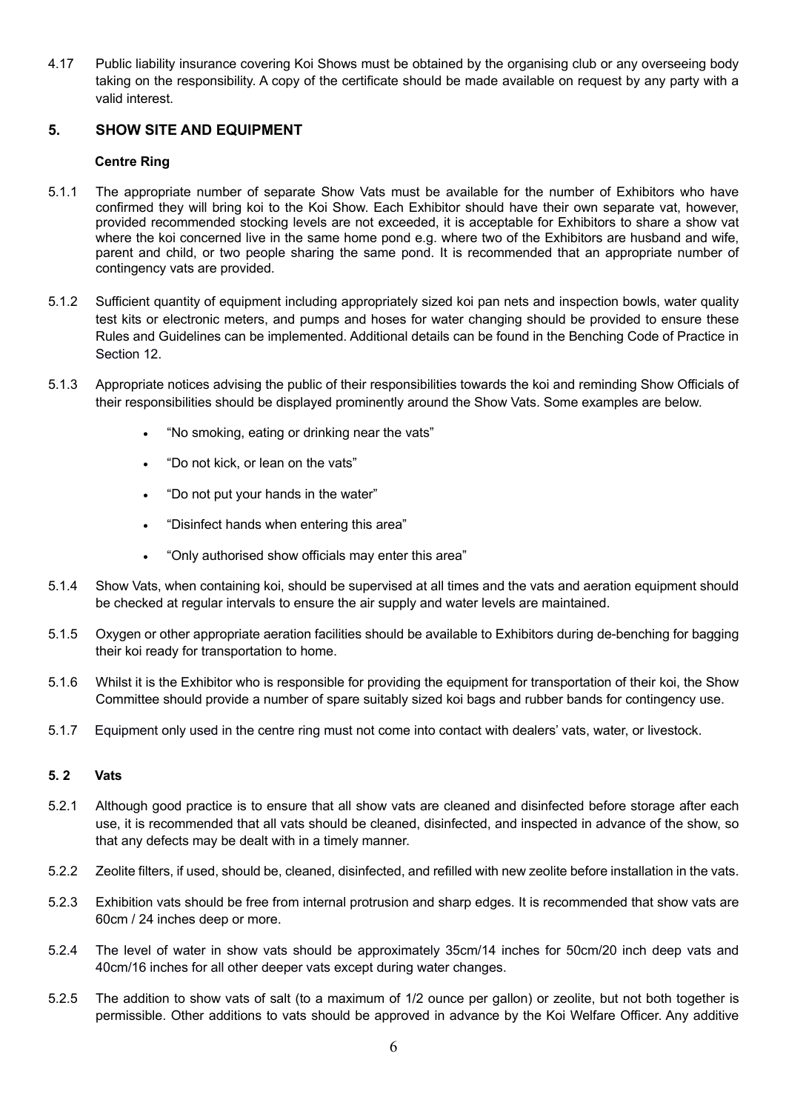4.17 Public liability insurance covering Koi Shows must be obtained by the organising club or any overseeing body taking on the responsibility. A copy of the certificate should be made available on request by any party with a valid interest.

# **5. SHOW SITE AND EQUIPMENT**

## **Centre Ring**

- 5.1.1 The appropriate number of separate Show Vats must be available for the number of Exhibitors who have confirmed they will bring koi to the Koi Show. Each Exhibitor should have their own separate vat, however, provided recommended stocking levels are not exceeded, it is acceptable for Exhibitors to share a show vat where the koi concerned live in the same home pond e.g. where two of the Exhibitors are husband and wife, parent and child, or two people sharing the same pond. It is recommended that an appropriate number of contingency vats are provided.
- 5.1.2 Sufficient quantity of equipment including appropriately sized koi pan nets and inspection bowls, water quality test kits or electronic meters, and pumps and hoses for water changing should be provided to ensure these Rules and Guidelines can be implemented. Additional details can be found in the Benching Code of Practice in Section 12.
- 5.1.3 Appropriate notices advising the public of their responsibilities towards the koi and reminding Show Officials of their responsibilities should be displayed prominently around the Show Vats. Some examples are below.
	- "No smoking, eating or drinking near the vats"
	- "Do not kick, or lean on the vats"
	- "Do not put your hands in the water"
	- "Disinfect hands when entering this area"
	- "Only authorised show officials may enter this area"
- 5.1.4 Show Vats, when containing koi, should be supervised at all times and the vats and aeration equipment should be checked at regular intervals to ensure the air supply and water levels are maintained.
- 5.1.5 Oxygen or other appropriate aeration facilities should be available to Exhibitors during de-benching for bagging their koi ready for transportation to home.
- 5.1.6 Whilst it is the Exhibitor who is responsible for providing the equipment for transportation of their koi, the Show Committee should provide a number of spare suitably sized koi bags and rubber bands for contingency use.
- 5.1.7 Equipment only used in the centre ring must not come into contact with dealers' vats, water, or livestock.

### **5. 2 Vats**

- 5.2.1 Although good practice is to ensure that all show vats are cleaned and disinfected before storage after each use, it is recommended that all vats should be cleaned, disinfected, and inspected in advance of the show, so that any defects may be dealt with in a timely manner.
- 5.2.2 Zeolite filters, if used, should be, cleaned, disinfected, and refilled with new zeolite before installation in the vats.
- 5.2.3 Exhibition vats should be free from internal protrusion and sharp edges. It is recommended that show vats are 60cm / 24 inches deep or more.
- 5.2.4 The level of water in show vats should be approximately 35cm/14 inches for 50cm/20 inch deep vats and 40cm/16 inches for all other deeper vats except during water changes.
- 5.2.5 The addition to show vats of salt (to a maximum of 1/2 ounce per gallon) or zeolite, but not both together is permissible. Other additions to vats should be approved in advance by the Koi Welfare Officer. Any additive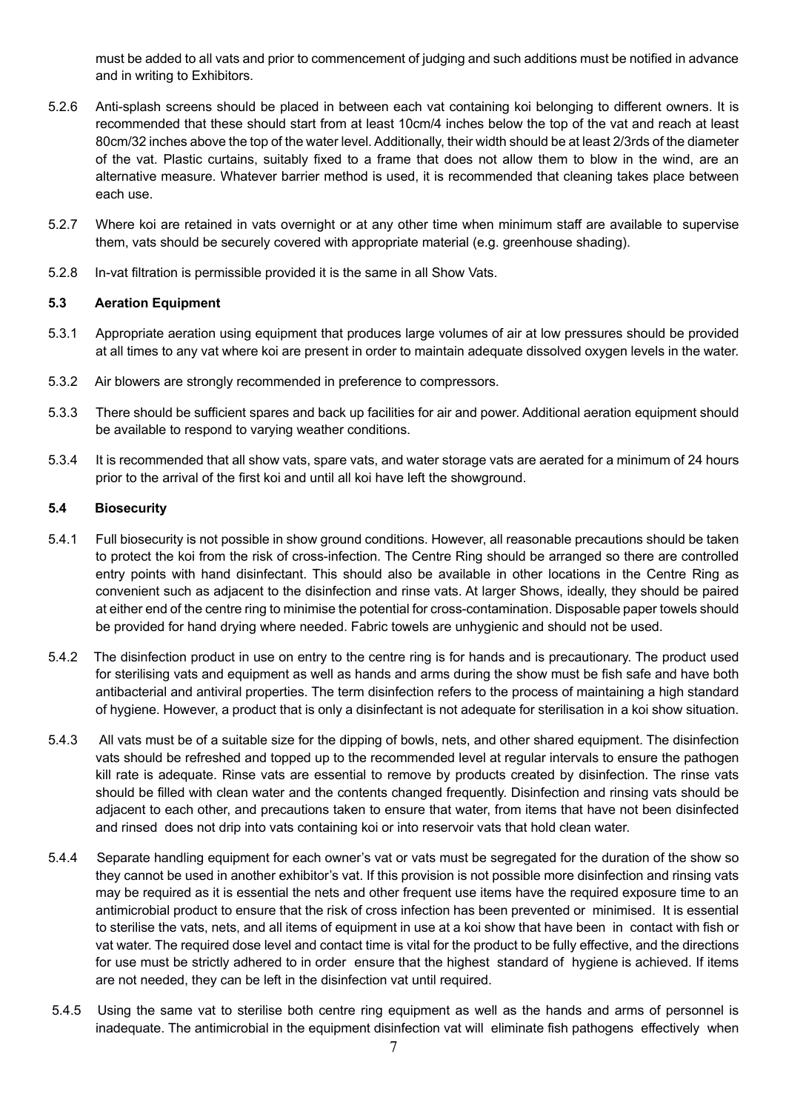must be added to all vats and prior to commencement of judging and such additions must be notified in advance and in writing to Exhibitors.

- 5.2.6 Anti-splash screens should be placed in between each vat containing koi belonging to different owners. It is recommended that these should start from at least 10cm/4 inches below the top of the vat and reach at least 80cm/32 inches above the top of the water level. Additionally, their width should be at least 2/3rds of the diameter of the vat. Plastic curtains, suitably fixed to a frame that does not allow them to blow in the wind, are an alternative measure. Whatever barrier method is used, it is recommended that cleaning takes place between each use.
- 5.2.7 Where koi are retained in vats overnight or at any other time when minimum staff are available to supervise them, vats should be securely covered with appropriate material (e.g. greenhouse shading).
- 5.2.8 In-vat filtration is permissible provided it is the same in all Show Vats.

### **5.3 Aeration Equipment**

- 5.3.1 Appropriate aeration using equipment that produces large volumes of air at low pressures should be provided at all times to any vat where koi are present in order to maintain adequate dissolved oxygen levels in the water.
- 5.3.2 Air blowers are strongly recommended in preference to compressors.
- 5.3.3 There should be sufficient spares and back up facilities for air and power. Additional aeration equipment should be available to respond to varying weather conditions.
- 5.3.4 It is recommended that all show vats, spare vats, and water storage vats are aerated for a minimum of 24 hours prior to the arrival of the first koi and until all koi have left the showground.

#### **5.4 Biosecurity**

- 5.4.1 Full biosecurity is not possible in show ground conditions. However, all reasonable precautions should be taken to protect the koi from the risk of cross-infection. The Centre Ring should be arranged so there are controlled entry points with hand disinfectant. This should also be available in other locations in the Centre Ring as convenient such as adjacent to the disinfection and rinse vats. At larger Shows, ideally, they should be paired at either end of the centre ring to minimise the potential for cross-contamination. Disposable paper towels should be provided for hand drying where needed. Fabric towels are unhygienic and should not be used.
- 5.4.2 The disinfection product in use on entry to the centre ring is for hands and is precautionary. The product used for sterilising vats and equipment as well as hands and arms during the show must be fish safe and have both antibacterial and antiviral properties. The term disinfection refers to the process of maintaining a high standard of hygiene. However, a product that is only a disinfectant is not adequate for sterilisation in a koi show situation.
- 5.4.3 All vats must be of a suitable size for the dipping of bowls, nets, and other shared equipment. The disinfection vats should be refreshed and topped up to the recommended level at regular intervals to ensure the pathogen kill rate is adequate. Rinse vats are essential to remove by products created by disinfection. The rinse vats should be filled with clean water and the contents changed frequently. Disinfection and rinsing vats should be adjacent to each other, and precautions taken to ensure that water, from items that have not been disinfected and rinsed does not drip into vats containing koi or into reservoir vats that hold clean water.
- 5.4.4 Separate handling equipment for each owner's vat or vats must be segregated for the duration of the show so they cannot be used in another exhibitor's vat. If this provision is not possible more disinfection and rinsing vats may be required as it is essential the nets and other frequent use items have the required exposure time to an antimicrobial product to ensure that the risk of cross infection has been prevented or minimised. It is essential to sterilise the vats, nets, and all items of equipment in use at a koi show that have been in contact with fish or vat water. The required dose level and contact time is vital for the product to be fully effective, and the directions for use must be strictly adhered to in order ensure that the highest standard of hygiene is achieved. If items are not needed, they can be left in the disinfection vat until required.
- 5.4.5 Using the same vat to sterilise both centre ring equipment as well as the hands and arms of personnel is inadequate. The antimicrobial in the equipment disinfection vat will eliminate fish pathogens effectively when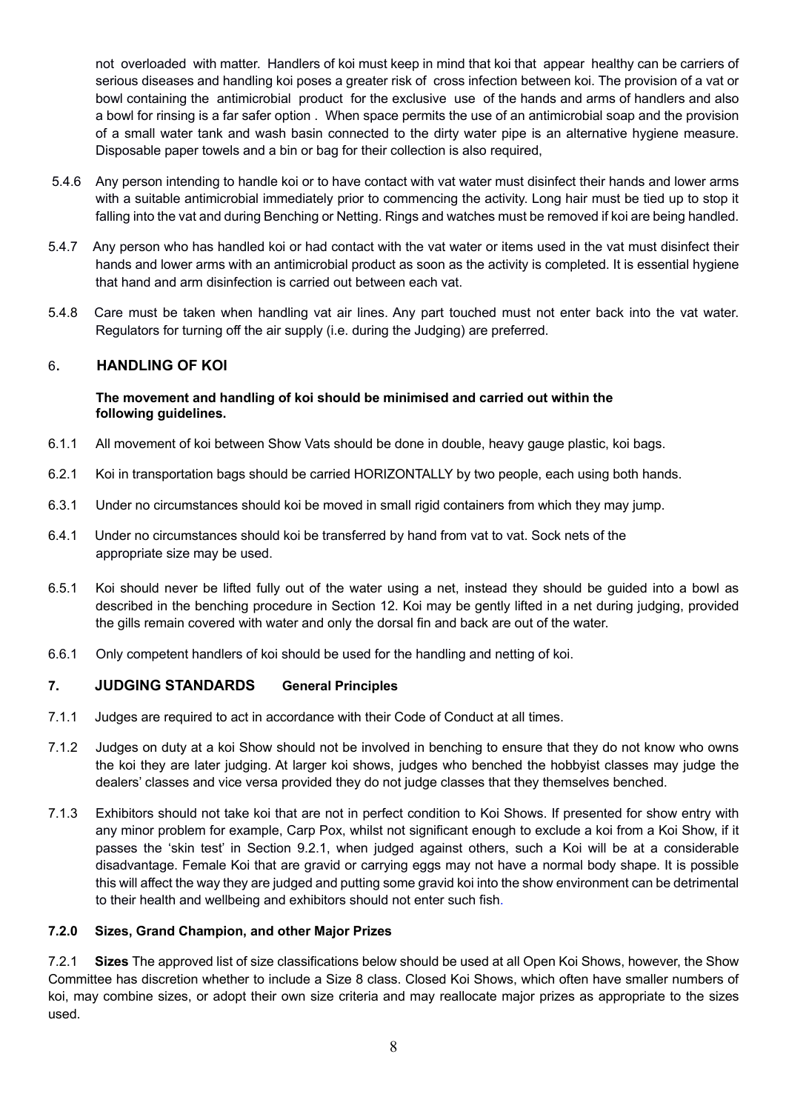not overloaded with matter. Handlers of koi must keep in mind that koi that appear healthy can be carriers of serious diseases and handling koi poses a greater risk of cross infection between koi. The provision of a vat or bowl containing the antimicrobial product for the exclusive use of the hands and arms of handlers and also a bowl for rinsing is a far safer option . When space permits the use of an antimicrobial soap and the provision of a small water tank and wash basin connected to the dirty water pipe is an alternative hygiene measure. Disposable paper towels and a bin or bag for their collection is also required,

- 5.4.6 Any person intending to handle koi or to have contact with vat water must disinfect their hands and lower arms with a suitable antimicrobial immediately prior to commencing the activity. Long hair must be tied up to stop it falling into the vat and during Benching or Netting. Rings and watches must be removed if koi are being handled.
- 5.4.7 Any person who has handled koi or had contact with the vat water or items used in the vat must disinfect their hands and lower arms with an antimicrobial product as soon as the activity is completed. It is essential hygiene that hand and arm disinfection is carried out between each vat.
- 5.4.8 Care must be taken when handling vat air lines. Any part touched must not enter back into the vat water. Regulators for turning off the air supply (i.e. during the Judging) are preferred.

# 6. **HANDLING OF KOI**

#### **The movement and handling of koi should be minimised and carried out within the following guidelines.**

- 6.1.1 All movement of koi between Show Vats should be done in double, heavy gauge plastic, koi bags.
- 6.2.1 Koi in transportation bags should be carried HORIZONTALLY by two people, each using both hands.
- 6.3.1 Under no circumstances should koi be moved in small rigid containers from which they may jump.
- 6.4.1 Under no circumstances should koi be transferred by hand from vat to vat. Sock nets of the appropriate size may be used.
- 6.5.1 Koi should never be lifted fully out of the water using a net, instead they should be guided into a bowl as described in the benching procedure in Section 12. Koi may be gently lifted in a net during judging, provided the gills remain covered with water and only the dorsal fin and back are out of the water.
- 6.6.1 Only competent handlers of koi should be used for the handling and netting of koi.

# **7. JUDGING STANDARDS General Principles**

- 7.1.1 Judges are required to act in accordance with their Code of Conduct at all times.
- 7.1.2 Judges on duty at a koi Show should not be involved in benching to ensure that they do not know who owns the koi they are later judging. At larger koi shows, judges who benched the hobbyist classes may judge the dealers' classes and vice versa provided they do not judge classes that they themselves benched.
- 7.1.3 Exhibitors should not take koi that are not in perfect condition to Koi Shows. If presented for show entry with any minor problem for example, Carp Pox, whilst not significant enough to exclude a koi from a Koi Show, if it passes the 'skin test' in Section 9.2.1, when judged against others, such a Koi will be at a considerable disadvantage. Female Koi that are gravid or carrying eggs may not have a normal body shape. It is possible this will affect the way they are judged and putting some gravid koi into the show environment can be detrimental to their health and wellbeing and exhibitors should not enter such fish.

## **7.2.0 Sizes, Grand Champion, and other Major Prizes**

7.2.1 **Sizes** The approved list of size classifications below should be used at all Open Koi Shows, however, the Show Committee has discretion whether to include a Size 8 class. Closed Koi Shows, which often have smaller numbers of koi, may combine sizes, or adopt their own size criteria and may reallocate major prizes as appropriate to the sizes used.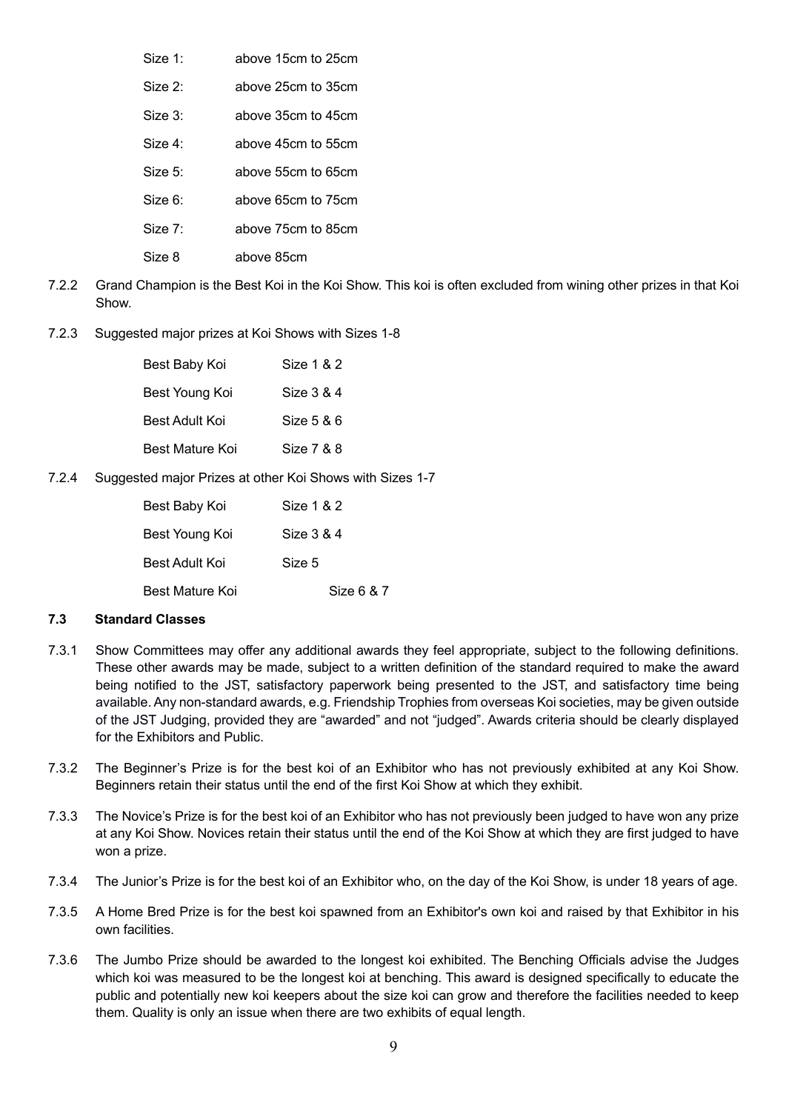- Size 1: above 15cm to 25cm
- Size 2: above 25cm to 35cm
- Size 3: above 35cm to 45cm
- Size 4: above 45cm to 55cm
- Size 5: above 55cm to 65cm
- Size 6: above 65cm to 75cm
- Size 7: above 75cm to 85cm
- Size 8 above 85cm
- 7.2.2 Grand Champion is the Best Koi in the Koi Show. This koi is often excluded from wining other prizes in that Koi Show.
- 7.2.3 Suggested major prizes at Koi Shows with Sizes 1-8

| Size 1 & 2 |
|------------|
| Size 3 & 4 |
| Size 5 & 6 |
| Size 7 & 8 |
|            |

7.2.4 Suggested major Prizes at other Koi Shows with Sizes 1-7

| Best Baby Koi          | Size 1 & 2 |
|------------------------|------------|
| Best Young Koi         | Size 3 & 4 |
| Best Adult Koi         | Size 5     |
| <b>Best Mature Koi</b> | Size 6 & 7 |

### **7.3 Standard Classes**

- 7.3.1 Show Committees may offer any additional awards they feel appropriate, subject to the following definitions. These other awards may be made, subject to a written definition of the standard required to make the award being notified to the JST, satisfactory paperwork being presented to the JST, and satisfactory time being available. Any non-standard awards, e.g. Friendship Trophies from overseas Koi societies, may be given outside of the JST Judging, provided they are "awarded" and not "judged". Awards criteria should be clearly displayed for the Exhibitors and Public.
- 7.3.2 The Beginner's Prize is for the best koi of an Exhibitor who has not previously exhibited at any Koi Show. Beginners retain their status until the end of the first Koi Show at which they exhibit.
- 7.3.3 The Novice's Prize is for the best koi of an Exhibitor who has not previously been judged to have won any prize at any Koi Show. Novices retain their status until the end of the Koi Show at which they are first judged to have won a prize.
- 7.3.4 The Junior's Prize is for the best koi of an Exhibitor who, on the day of the Koi Show, is under 18 years of age.
- 7.3.5 A Home Bred Prize is for the best koi spawned from an Exhibitor's own koi and raised by that Exhibitor in his own facilities.
- 7.3.6 The Jumbo Prize should be awarded to the longest koi exhibited. The Benching Officials advise the Judges which koi was measured to be the longest koi at benching. This award is designed specifically to educate the public and potentially new koi keepers about the size koi can grow and therefore the facilities needed to keep them. Quality is only an issue when there are two exhibits of equal length.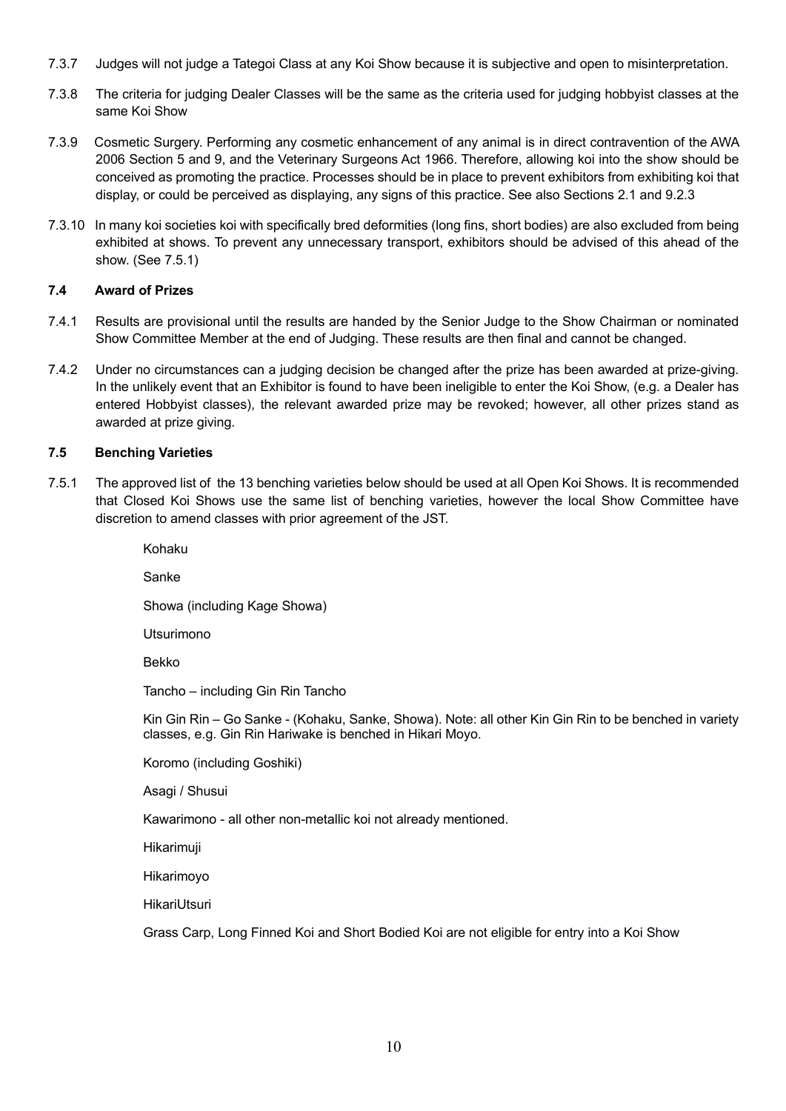- 7.3.7 Judges will not judge a Tategoi Class at any Koi Show because it is subjective and open to misinterpretation.
- 7.3.8 The criteria for judging Dealer Classes will be the same as the criteria used for judging hobbyist classes at the same Koi Show
- 7.3.9 Cosmetic Surgery. Performing any cosmetic enhancement of any animal is in direct contravention of the AWA 2006 Section 5 and 9, and the Veterinary Surgeons Act 1966. Therefore, allowing koi into the show should be conceived as promoting the practice. Processes should be in place to prevent exhibitors from exhibiting koi that display, or could be perceived as displaying, any signs of this practice. See also Sections 2.1 and 9.2.3
- 7.3.10 In many koi societies koi with specifically bred deformities (long fins, short bodies) are also excluded from being exhibited at shows. To prevent any unnecessary transport, exhibitors should be advised of this ahead of the show. (See 7.5.1)

# **7.4 Award of Prizes**

- 7.4.1 Results are provisional until the results are handed by the Senior Judge to the Show Chairman or nominated Show Committee Member at the end of Judging. These results are then final and cannot be changed.
- 7.4.2 Under no circumstances can a judging decision be changed after the prize has been awarded at prize-giving. In the unlikely event that an Exhibitor is found to have been ineligible to enter the Koi Show, (e.g. a Dealer has entered Hobbyist classes), the relevant awarded prize may be revoked; however, all other prizes stand as awarded at prize giving.

## **7.5 Benching Varieties**

7.5.1 The approved list of the 13 benching varieties below should be used at all Open Koi Shows. It is recommended that Closed Koi Shows use the same list of benching varieties, however the local Show Committee have discretion to amend classes with prior agreement of the JST.

> Kohaku Sanke Showa (including Kage Showa) Utsurimono Bekko Tancho – including Gin Rin Tancho Kin Gin Rin – Go Sanke - (Kohaku, Sanke, Showa). Note: all other Kin Gin Rin to be benched in variety classes, e.g. Gin Rin Hariwake is benched in Hikari Moyo. Koromo (including Goshiki) Asagi / Shusui Kawarimono - all other non-metallic koi not already mentioned. Hikarimuji Hikarimoyo

HikariUtsuri

Grass Carp, Long Finned Koi and Short Bodied Koi are not eligible for entry into a Koi Show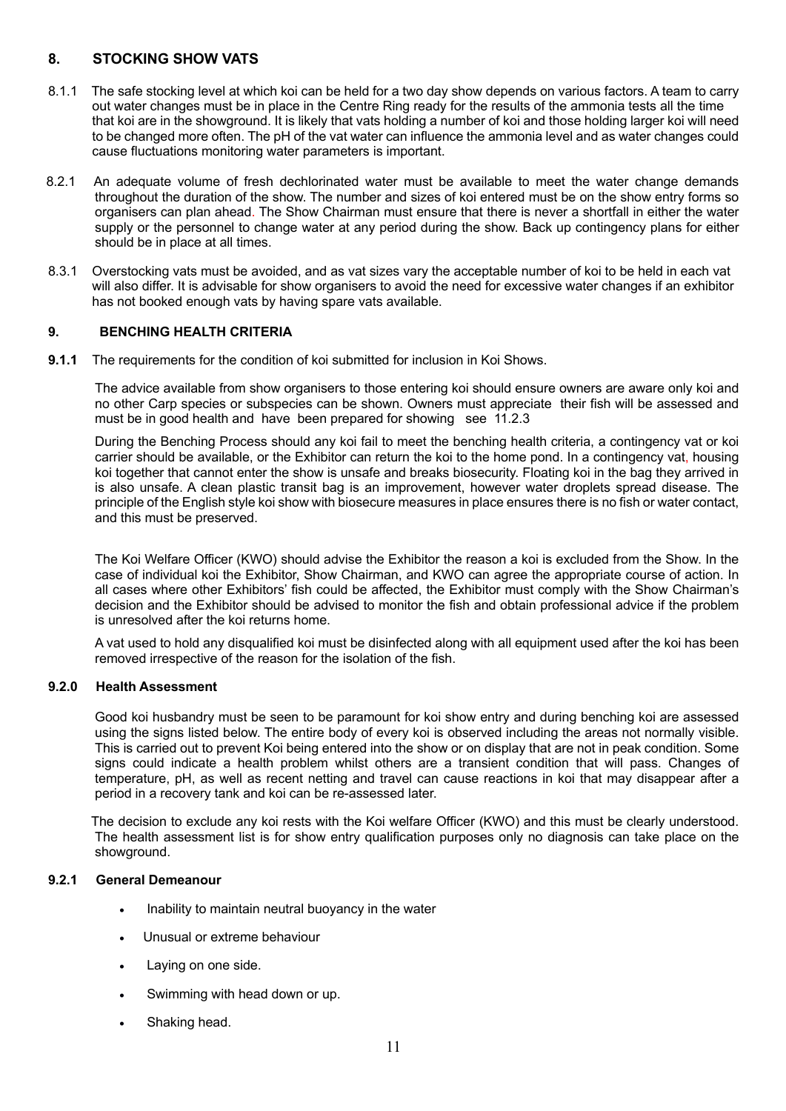# **8. STOCKING SHOW VATS**

- 8.1.1 The safe stocking level at which koi can be held for a two day show depends on various factors. A team to carry out water changes must be in place in the Centre Ring ready for the results of the ammonia tests all the time that koi are in the showground. It is likely that vats holding a number of koi and those holding larger koi will need to be changed more often. The pH of the vat water can influence the ammonia level and as water changes could cause fluctuations monitoring water parameters is important.
- 8.2.1 An adequate volume of fresh dechlorinated water must be available to meet the water change demands throughout the duration of the show. The number and sizes of koi entered must be on the show entry forms so organisers can plan ahead. The Show Chairman must ensure that there is never a shortfall in either the water supply or the personnel to change water at any period during the show. Back up contingency plans for either should be in place at all times.
- 8.3.1 Overstocking vats must be avoided, and as vat sizes vary the acceptable number of koi to be held in each vat will also differ. It is advisable for show organisers to avoid the need for excessive water changes if an exhibitor has not booked enough vats by having spare vats available.

### **9. BENCHING HEALTH CRITERIA**

**9.1.1** The requirements for the condition of koi submitted for inclusion in Koi Shows.

The advice available from show organisers to those entering koi should ensure owners are aware only koi and no other Carp species or subspecies can be shown. Owners must appreciate their fish will be assessed and must be in good health and have been prepared for showing see 11.2.3

During the Benching Process should any koi fail to meet the benching health criteria, a contingency vat or koi carrier should be available, or the Exhibitor can return the koi to the home pond. In a contingency vat, housing koi together that cannot enter the show is unsafe and breaks biosecurity. Floating koi in the bag they arrived in is also unsafe. A clean plastic transit bag is an improvement, however water droplets spread disease. The principle of the English style koi show with biosecure measures in place ensures there is no fish or water contact, and this must be preserved.

The Koi Welfare Officer (KWO) should advise the Exhibitor the reason a koi is excluded from the Show. In the case of individual koi the Exhibitor, Show Chairman, and KWO can agree the appropriate course of action. In all cases where other Exhibitors' fish could be affected, the Exhibitor must comply with the Show Chairman's decision and the Exhibitor should be advised to monitor the fish and obtain professional advice if the problem is unresolved after the koi returns home.

A vat used to hold any disqualified koi must be disinfected along with all equipment used after the koi has been removed irrespective of the reason for the isolation of the fish.

### **9.2.0 Health Assessment**

Good koi husbandry must be seen to be paramount for koi show entry and during benching koi are assessed using the signs listed below. The entire body of every koi is observed including the areas not normally visible. This is carried out to prevent Koi being entered into the show or on display that are not in peak condition. Some signs could indicate a health problem whilst others are a transient condition that will pass. Changes of temperature, pH, as well as recent netting and travel can cause reactions in koi that may disappear after a period in a recovery tank and koi can be re-assessed later.

 The decision to exclude any koi rests with the Koi welfare Officer (KWO) and this must be clearly understood. The health assessment list is for show entry qualification purposes only no diagnosis can take place on the showground.

### **9.2.1 General Demeanour**

- Inability to maintain neutral buoyancy in the water
- Unusual or extreme behaviour
- Laying on one side.
- Swimming with head down or up.
- Shaking head.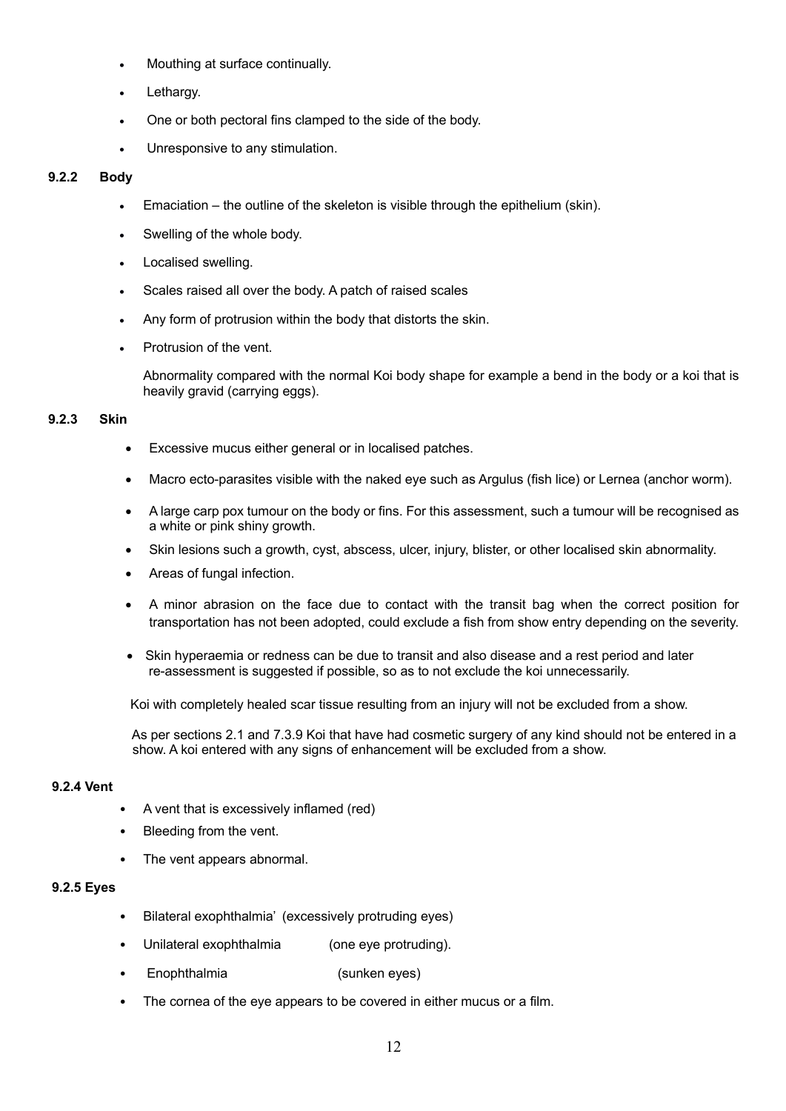- Mouthing at surface continually.
- Lethargy.
- One or both pectoral fins clamped to the side of the body.
- Unresponsive to any stimulation.

### **9.2.2 Body**

- Emaciation the outline of the skeleton is visible through the epithelium (skin).
- Swelling of the whole body.
- Localised swelling.
- Scales raised all over the body. A patch of raised scales
- Any form of protrusion within the body that distorts the skin.
- Protrusion of the vent.

Abnormality compared with the normal Koi body shape for example a bend in the body or a koi that is heavily gravid (carrying eggs).

#### **9.2.3 Skin**

- Excessive mucus either general or in localised patches.
- Macro ecto-parasites visible with the naked eye such as Argulus (fish lice) or Lernea (anchor worm).
- A large carp pox tumour on the body or fins. For this assessment, such a tumour will be recognised as a white or pink shiny growth.
- Skin lesions such a growth, cyst, abscess, ulcer, injury, blister, or other localised skin abnormality.
- Areas of fungal infection.
- A minor abrasion on the face due to contact with the transit bag when the correct position for transportation has not been adopted, could exclude a fish from show entry depending on the severity.
- Skin hyperaemia or redness can be due to transit and also disease and a rest period and later re-assessment is suggested if possible, so as to not exclude the koi unnecessarily.

Koi with completely healed scar tissue resulting from an injury will not be excluded from a show.

 As per sections 2.1 and 7.3.9 Koi that have had cosmetic surgery of any kind should not be entered in a show. A koi entered with any signs of enhancement will be excluded from a show.

#### **9.2.4 Vent**

- A vent that is excessively inflamed (red)
- Bleeding from the vent.
- The vent appears abnormal.

### **9.2.5 Eyes**

- Bilateral exophthalmia' (excessively protruding eyes)
- Unilateral exophthalmia (one eye protruding).
- Enophthalmia (sunken eyes)
- The cornea of the eye appears to be covered in either mucus or a film.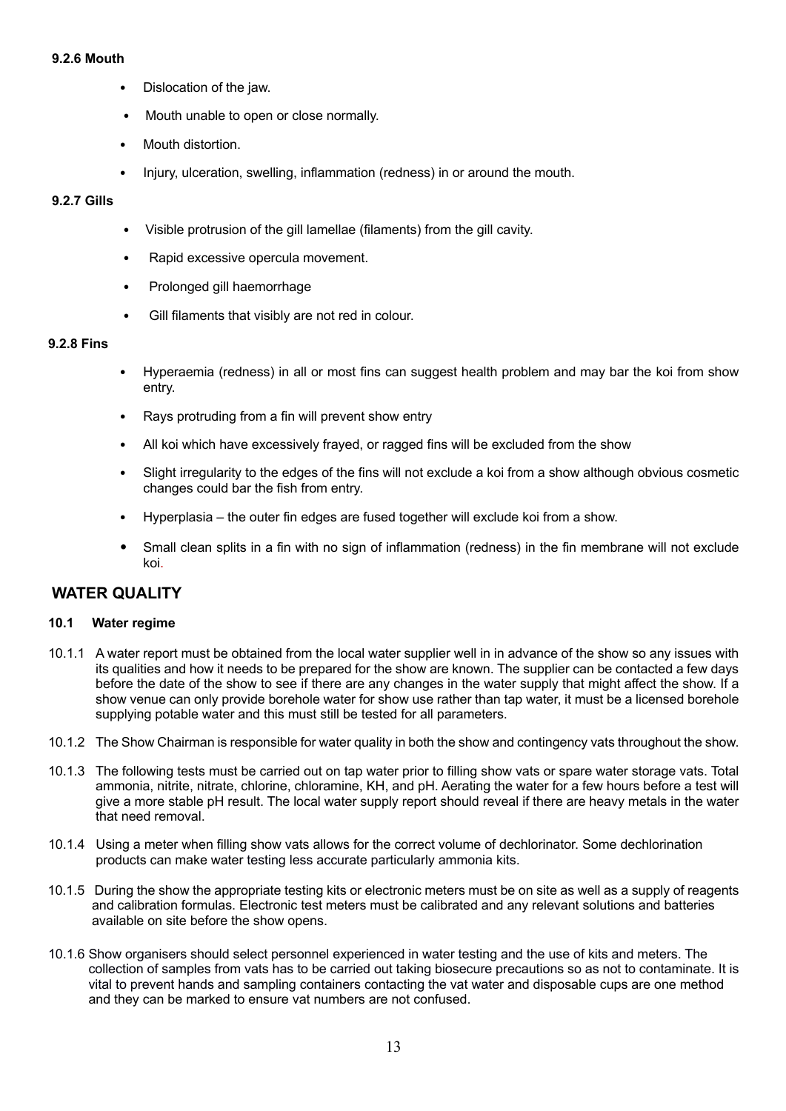#### **9.2.6 Mouth**

- Dislocation of the jaw.
- Mouth unable to open or close normally.
- Mouth distortion.
- Injury, ulceration, swelling, inflammation (redness) in or around the mouth.

## **9.2.7 Gills**

- Visible protrusion of the gill lamellae (filaments) from the gill cavity.
- Rapid excessive opercula movement.
- Prolonged gill haemorrhage
- Gill filaments that visibly are not red in colour.

## **9.2.8 Fins**

- Hyperaemia (redness) in all or most fins can suggest health problem and may bar the koi from show entry.
- Rays protruding from a fin will prevent show entry
- All koi which have excessively frayed, or ragged fins will be excluded from the show
- Slight irregularity to the edges of the fins will not exclude a koi from a show although obvious cosmetic changes could bar the fish from entry.
- Hyperplasia the outer fin edges are fused together will exclude koi from a show.
- Small clean splits in a fin with no sign of inflammation (redness) in the fin membrane will not exclude koi.

# **WATER QUALITY**

### **10.1 Water regime**

- 10.1.1 A water report must be obtained from the local water supplier well in in advance of the show so any issues with its qualities and how it needs to be prepared for the show are known. The supplier can be contacted a few days before the date of the show to see if there are any changes in the water supply that might affect the show. If a show venue can only provide borehole water for show use rather than tap water, it must be a licensed borehole supplying potable water and this must still be tested for all parameters.
- 10.1.2 The Show Chairman is responsible for water quality in both the show and contingency vats throughout the show.
- 10.1.3 The following tests must be carried out on tap water prior to filling show vats or spare water storage vats. Total ammonia, nitrite, nitrate, chlorine, chloramine, KH, and pH. Aerating the water for a few hours before a test will give a more stable pH result. The local water supply report should reveal if there are heavy metals in the water that need removal.
- 10.1.4 Using a meter when filling show vats allows for the correct volume of dechlorinator. Some dechlorination products can make water testing less accurate particularly ammonia kits.
- 10.1.5 During the show the appropriate testing kits or electronic meters must be on site as well as a supply of reagents and calibration formulas. Electronic test meters must be calibrated and any relevant solutions and batteries available on site before the show opens.
- 10.1.6 Show organisers should select personnel experienced in water testing and the use of kits and meters. The collection of samples from vats has to be carried out taking biosecure precautions so as not to contaminate. It is vital to prevent hands and sampling containers contacting the vat water and disposable cups are one method and they can be marked to ensure vat numbers are not confused.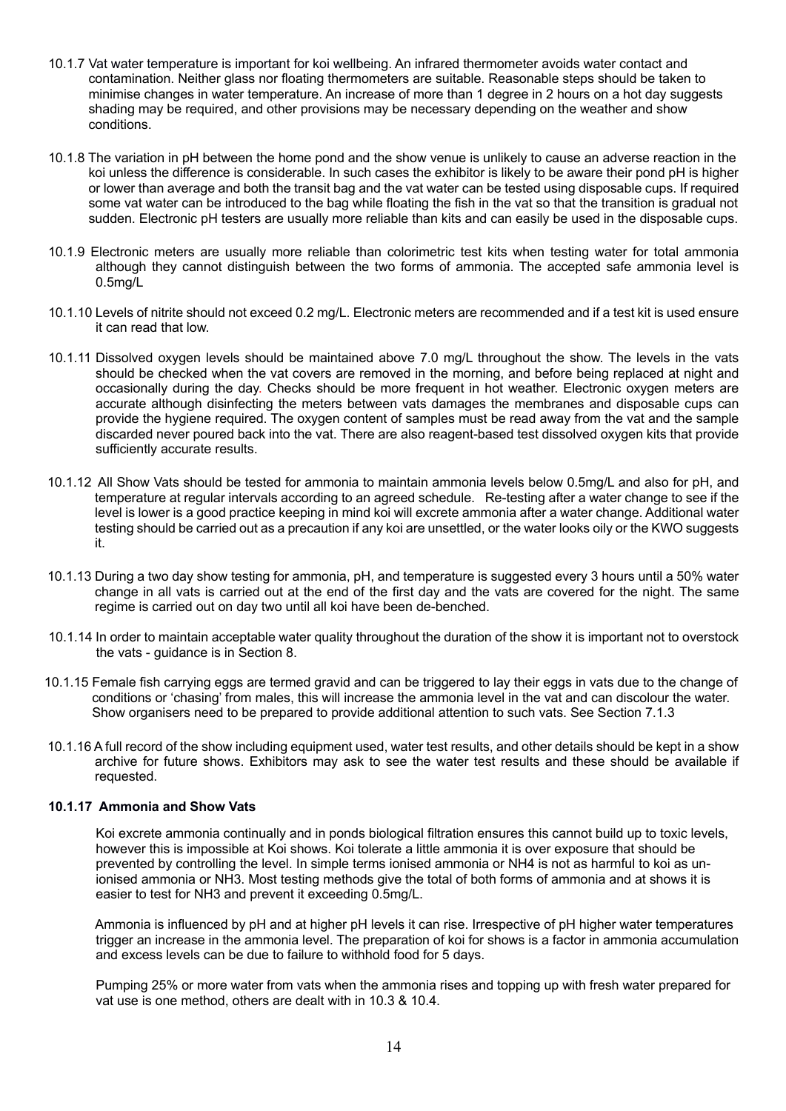- 10.1.7 Vat water temperature is important for koi wellbeing. An infrared thermometer avoids water contact and contamination. Neither glass nor floating thermometers are suitable. Reasonable steps should be taken to minimise changes in water temperature. An increase of more than 1 degree in 2 hours on a hot day suggests shading may be required, and other provisions may be necessary depending on the weather and show conditions.
- 10.1.8 The variation in pH between the home pond and the show venue is unlikely to cause an adverse reaction in the koi unless the difference is considerable. In such cases the exhibitor is likely to be aware their pond pH is higher or lower than average and both the transit bag and the vat water can be tested using disposable cups. If required some vat water can be introduced to the bag while floating the fish in the vat so that the transition is gradual not sudden. Electronic pH testers are usually more reliable than kits and can easily be used in the disposable cups.
- 10.1.9 Electronic meters are usually more reliable than colorimetric test kits when testing water for total ammonia although they cannot distinguish between the two forms of ammonia. The accepted safe ammonia level is 0.5mg/L
- 10.1.10 Levels of nitrite should not exceed 0.2 mg/L. Electronic meters are recommended and if a test kit is used ensure it can read that low.
- 10.1.11 Dissolved oxygen levels should be maintained above 7.0 mg/L throughout the show. The levels in the vats should be checked when the vat covers are removed in the morning, and before being replaced at night and occasionally during the day. Checks should be more frequent in hot weather. Electronic oxygen meters are accurate although disinfecting the meters between vats damages the membranes and disposable cups can provide the hygiene required. The oxygen content of samples must be read away from the vat and the sample discarded never poured back into the vat. There are also reagent-based test dissolved oxygen kits that provide sufficiently accurate results.
- 10.1.12 All Show Vats should be tested for ammonia to maintain ammonia levels below 0.5mg/L and also for pH, and temperature at regular intervals according to an agreed schedule. Re-testing after a water change to see if the level is lower is a good practice keeping in mind koi will excrete ammonia after a water change. Additional water testing should be carried out as a precaution if any koi are unsettled, or the water looks oily or the KWO suggests it.
- 10.1.13 During a two day show testing for ammonia, pH, and temperature is suggested every 3 hours until a 50% water change in all vats is carried out at the end of the first day and the vats are covered for the night. The same regime is carried out on day two until all koi have been de-benched.
- 10.1.14 In order to maintain acceptable water quality throughout the duration of the show it is important not to overstock the vats - guidance is in Section 8.
- 10.1.15 Female fish carrying eggs are termed gravid and can be triggered to lay their eggs in vats due to the change of conditions or 'chasing' from males, this will increase the ammonia level in the vat and can discolour the water. Show organisers need to be prepared to provide additional attention to such vats. See Section 7.1.3
- 10.1.16 A full record of the show including equipment used, water test results, and other details should be kept in a show archive for future shows. Exhibitors may ask to see the water test results and these should be available if requested.

### **10.1.17 Ammonia and Show Vats**

 Koi excrete ammonia continually and in ponds biological filtration ensures this cannot build up to toxic levels, however this is impossible at Koi shows. Koi tolerate a little ammonia it is over exposure that should be prevented by controlling the level. In simple terms ionised ammonia or NH4 is not as harmful to koi as un ionised ammonia or NH3. Most testing methods give the total of both forms of ammonia and at shows it is easier to test for NH3 and prevent it exceeding 0.5mg/L.

 Ammonia is influenced by pH and at higher pH levels it can rise. Irrespective of pH higher water temperatures trigger an increase in the ammonia level. The preparation of koi for shows is a factor in ammonia accumulation and excess levels can be due to failure to withhold food for 5 days.

 Pumping 25% or more water from vats when the ammonia rises and topping up with fresh water prepared for vat use is one method, others are dealt with in 10.3 & 10.4.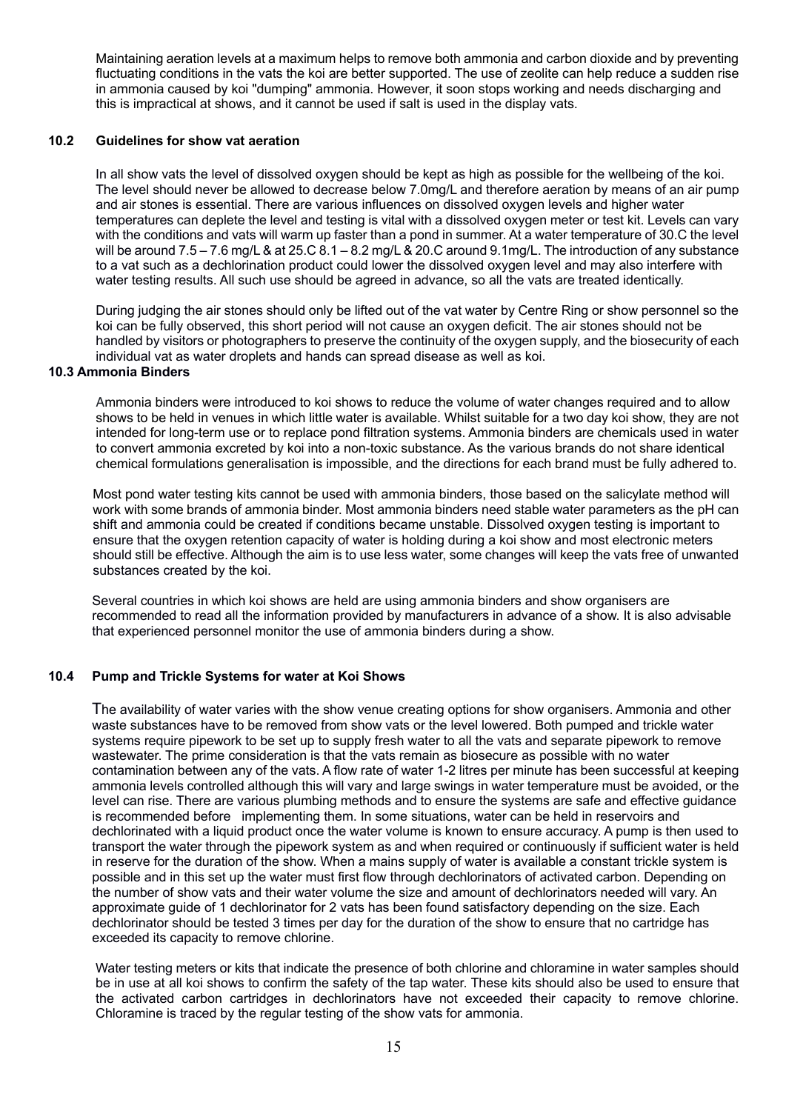Maintaining aeration levels at a maximum helps to remove both ammonia and carbon dioxide and by preventing fluctuating conditions in the vats the koi are better supported. The use of zeolite can help reduce a sudden rise in ammonia caused by koi "dumping" ammonia. However, it soon stops working and needs discharging and this is impractical at shows, and it cannot be used if salt is used in the display vats.

#### **10.2 Guidelines for show vat aeration**

 In all show vats the level of dissolved oxygen should be kept as high as possible for the wellbeing of the koi. The level should never be allowed to decrease below 7.0mg/L and therefore aeration by means of an air pump and air stones is essential. There are various influences on dissolved oxygen levels and higher water temperatures can deplete the level and testing is vital with a dissolved oxygen meter or test kit. Levels can vary with the conditions and vats will warm up faster than a pond in summer. At a water temperature of 30.C the level will be around 7.5 – 7.6 mg/L & at 25.C 8.1 – 8.2 mg/L & 20.C around 9.1mg/L. The introduction of any substance to a vat such as a dechlorination product could lower the dissolved oxygen level and may also interfere with water testing results. All such use should be agreed in advance, so all the vats are treated identically.

 During judging the air stones should only be lifted out of the vat water by Centre Ring or show personnel so the koi can be fully observed, this short period will not cause an oxygen deficit. The air stones should not be handled by visitors or photographers to preserve the continuity of the oxygen supply, and the biosecurity of each individual vat as water droplets and hands can spread disease as well as koi.

### **10.3 Ammonia Binders**

 Ammonia binders were introduced to koi shows to reduce the volume of water changes required and to allow shows to be held in venues in which little water is available. Whilst suitable for a two day koi show, they are not intended for long-term use or to replace pond filtration systems. Ammonia binders are chemicals used in water to convert ammonia excreted by koi into a non-toxic substance. As the various brands do not share identical chemical formulations generalisation is impossible, and the directions for each brand must be fully adhered to.

Most pond water testing kits cannot be used with ammonia binders, those based on the salicylate method will work with some brands of ammonia binder. Most ammonia binders need stable water parameters as the pH can shift and ammonia could be created if conditions became unstable. Dissolved oxygen testing is important to ensure that the oxygen retention capacity of water is holding during a koi show and most electronic meters should still be effective. Although the aim is to use less water, some changes will keep the vats free of unwanted substances created by the koi.

 Several countries in which koi shows are held are using ammonia binders and show organisers are recommended to read all the information provided by manufacturers in advance of a show. It is also advisable that experienced personnel monitor the use of ammonia binders during a show.

### **10.4 Pump and Trickle Systems for water at Koi Shows**

 The availability of water varies with the show venue creating options for show organisers. Ammonia and other waste substances have to be removed from show vats or the level lowered. Both pumped and trickle water systems require pipework to be set up to supply fresh water to all the vats and separate pipework to remove wastewater. The prime consideration is that the vats remain as biosecure as possible with no water contamination between any of the vats. A flow rate of water 1-2 litres per minute has been successful at keeping ammonia levels controlled although this will vary and large swings in water temperature must be avoided, or the level can rise. There are various plumbing methods and to ensure the systems are safe and effective guidance is recommended before implementing them. In some situations, water can be held in reservoirs and dechlorinated with a liquid product once the water volume is known to ensure accuracy. A pump is then used to transport the water through the pipework system as and when required or continuously if sufficient water is held in reserve for the duration of the show. When a mains supply of water is available a constant trickle system is possible and in this set up the water must first flow through dechlorinators of activated carbon. Depending on the number of show vats and their water volume the size and amount of dechlorinators needed will vary. An approximate guide of 1 dechlorinator for 2 vats has been found satisfactory depending on the size. Each dechlorinator should be tested 3 times per day for the duration of the show to ensure that no cartridge has exceeded its capacity to remove chlorine.

Water testing meters or kits that indicate the presence of both chlorine and chloramine in water samples should be in use at all koi shows to confirm the safety of the tap water. These kits should also be used to ensure that the activated carbon cartridges in dechlorinators have not exceeded their capacity to remove chlorine. Chloramine is traced by the regular testing of the show vats for ammonia.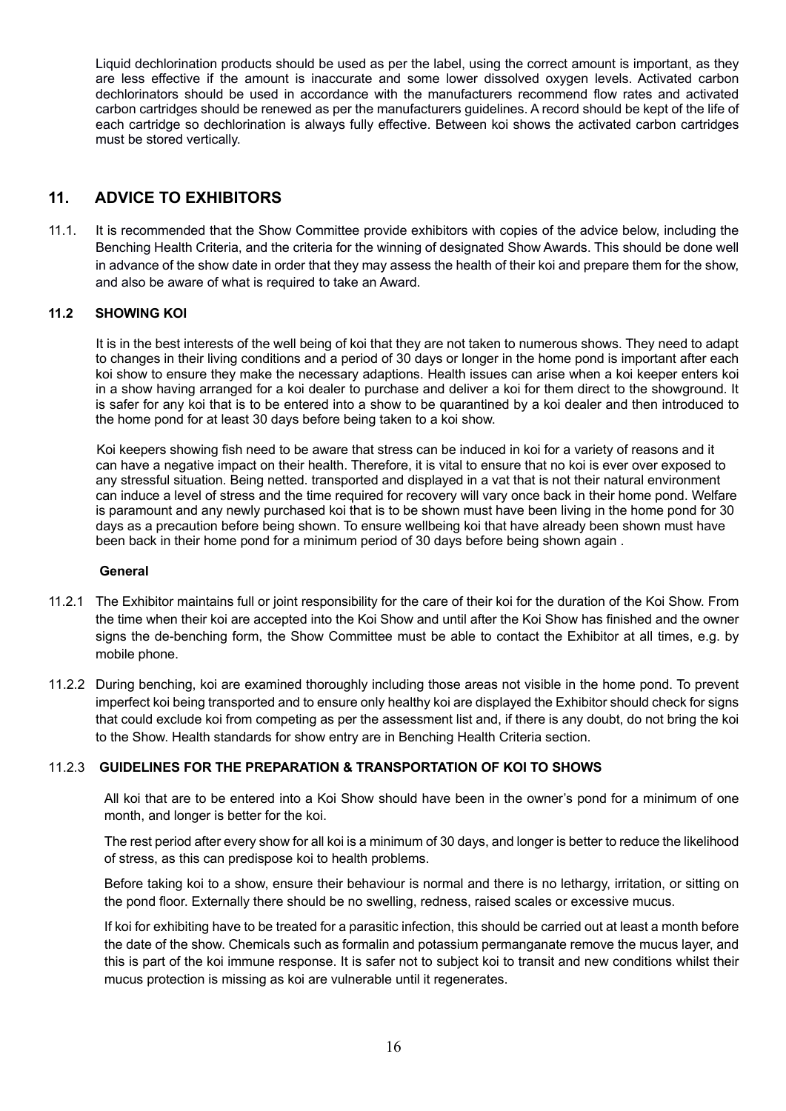Liquid dechlorination products should be used as per the label, using the correct amount is important, as they are less effective if the amount is inaccurate and some lower dissolved oxygen levels. Activated carbon dechlorinators should be used in accordance with the manufacturers recommend flow rates and activated carbon cartridges should be renewed as per the manufacturers guidelines. A record should be kept of the life of each cartridge so dechlorination is always fully effective. Between koi shows the activated carbon cartridges must be stored vertically.

# **11. ADVICE TO EXHIBITORS**

11.1. It is recommended that the Show Committee provide exhibitors with copies of the advice below, including the Benching Health Criteria, and the criteria for the winning of designated Show Awards. This should be done well in advance of the show date in order that they may assess the health of their koi and prepare them for the show, and also be aware of what is required to take an Award.

## **11.2 SHOWING KOI**

It is in the best interests of the well being of koi that they are not taken to numerous shows. They need to adapt to changes in their living conditions and a period of 30 days or longer in the home pond is important after each koi show to ensure they make the necessary adaptions. Health issues can arise when a koi keeper enters koi in a show having arranged for a koi dealer to purchase and deliver a koi for them direct to the showground. It is safer for any koi that is to be entered into a show to be quarantined by a koi dealer and then introduced to the home pond for at least 30 days before being taken to a koi show.

Koi keepers showing fish need to be aware that stress can be induced in koi for a variety of reasons and it can have a negative impact on their health. Therefore, it is vital to ensure that no koi is ever over exposed to any stressful situation. Being netted. transported and displayed in a vat that is not their natural environment can induce a level of stress and the time required for recovery will vary once back in their home pond. Welfare is paramount and any newly purchased koi that is to be shown must have been living in the home pond for 30 days as a precaution before being shown. To ensure wellbeing koi that have already been shown must have been back in their home pond for a minimum period of 30 days before being shown again .

### **General**

- 11.2.1 The Exhibitor maintains full or joint responsibility for the care of their koi for the duration of the Koi Show. From the time when their koi are accepted into the Koi Show and until after the Koi Show has finished and the owner signs the de-benching form, the Show Committee must be able to contact the Exhibitor at all times, e.g. by mobile phone.
- 11.2.2 During benching, koi are examined thoroughly including those areas not visible in the home pond. To prevent imperfect koi being transported and to ensure only healthy koi are displayed the Exhibitor should check for signs that could exclude koi from competing as per the assessment list and, if there is any doubt, do not bring the koi to the Show. Health standards for show entry are in Benching Health Criteria section.

### 11.2.3 **GUIDELINES FOR THE PREPARATION & TRANSPORTATION OF KOI TO SHOWS**

All koi that are to be entered into a Koi Show should have been in the owner's pond for a minimum of one month, and longer is better for the koi.

The rest period after every show for all koi is a minimum of 30 days, and longer is better to reduce the likelihood of stress, as this can predispose koi to health problems.

Before taking koi to a show, ensure their behaviour is normal and there is no lethargy, irritation, or sitting on the pond floor. Externally there should be no swelling, redness, raised scales or excessive mucus.

If koi for exhibiting have to be treated for a parasitic infection, this should be carried out at least a month before the date of the show. Chemicals such as formalin and potassium permanganate remove the mucus layer, and this is part of the koi immune response. It is safer not to subject koi to transit and new conditions whilst their mucus protection is missing as koi are vulnerable until it regenerates.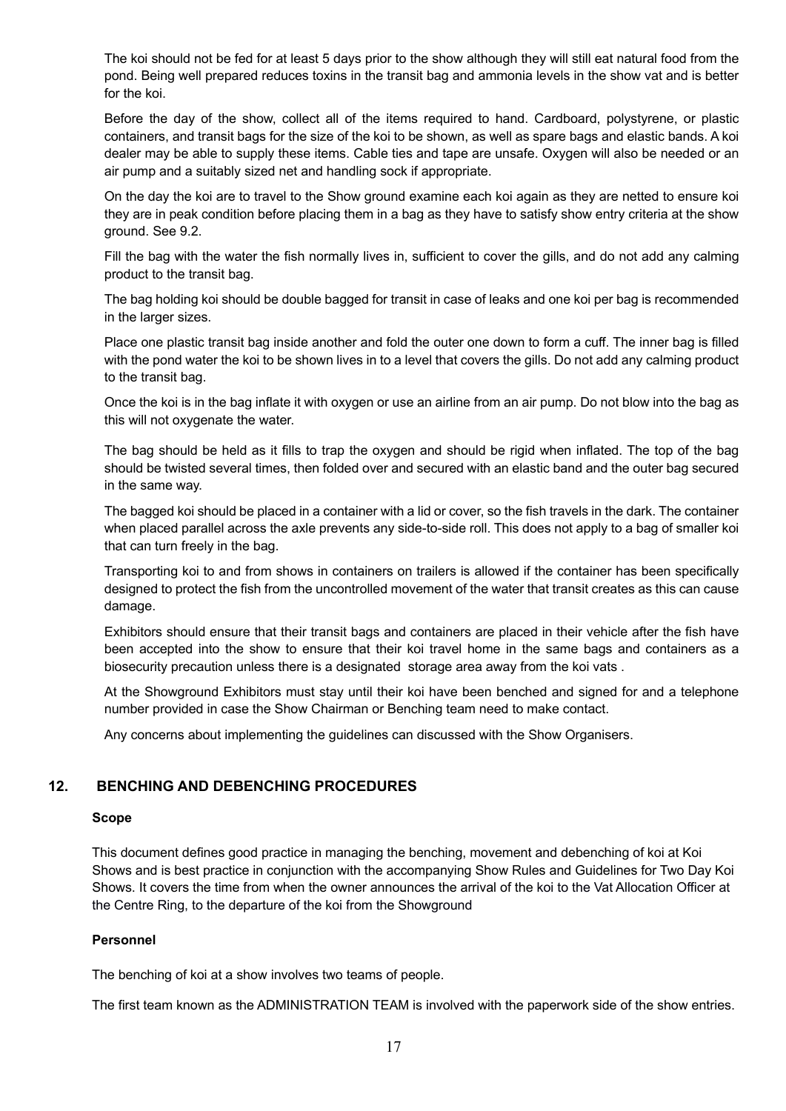The koi should not be fed for at least 5 days prior to the show although they will still eat natural food from the pond. Being well prepared reduces toxins in the transit bag and ammonia levels in the show vat and is better for the koi.

Before the day of the show, collect all of the items required to hand. Cardboard, polystyrene, or plastic containers, and transit bags for the size of the koi to be shown, as well as spare bags and elastic bands. A koi dealer may be able to supply these items. Cable ties and tape are unsafe. Oxygen will also be needed or an air pump and a suitably sized net and handling sock if appropriate.

On the day the koi are to travel to the Show ground examine each koi again as they are netted to ensure koi they are in peak condition before placing them in a bag as they have to satisfy show entry criteria at the show ground. See 9.2.

Fill the bag with the water the fish normally lives in, sufficient to cover the gills, and do not add any calming product to the transit bag.

The bag holding koi should be double bagged for transit in case of leaks and one koi per bag is recommended in the larger sizes.

Place one plastic transit bag inside another and fold the outer one down to form a cuff. The inner bag is filled with the pond water the koi to be shown lives in to a level that covers the gills. Do not add any calming product to the transit bag.

Once the koi is in the bag inflate it with oxygen or use an airline from an air pump. Do not blow into the bag as this will not oxygenate the water.

The bag should be held as it fills to trap the oxygen and should be rigid when inflated. The top of the bag should be twisted several times, then folded over and secured with an elastic band and the outer bag secured in the same way.

The bagged koi should be placed in a container with a lid or cover, so the fish travels in the dark. The container when placed parallel across the axle prevents any side-to-side roll. This does not apply to a bag of smaller koi that can turn freely in the bag.

Transporting koi to and from shows in containers on trailers is allowed if the container has been specifically designed to protect the fish from the uncontrolled movement of the water that transit creates as this can cause damage.

Exhibitors should ensure that their transit bags and containers are placed in their vehicle after the fish have been accepted into the show to ensure that their koi travel home in the same bags and containers as a biosecurity precaution unless there is a designated storage area away from the koi vats .

At the Showground Exhibitors must stay until their koi have been benched and signed for and a telephone number provided in case the Show Chairman or Benching team need to make contact.

Any concerns about implementing the guidelines can discussed with the Show Organisers.

# **12. BENCHING AND DEBENCHING PROCEDURES**

#### **Scope**

 This document defines good practice in managing the benching, movement and debenching of koi at Koi Shows and is best practice in conjunction with the accompanying Show Rules and Guidelines for Two Day Koi Shows. It covers the time from when the owner announces the arrival of the koi to the Vat Allocation Officer at the Centre Ring, to the departure of the koi from the Showground

### **Personnel**

The benching of koi at a show involves two teams of people.

The first team known as the ADMINISTRATION TEAM is involved with the paperwork side of the show entries.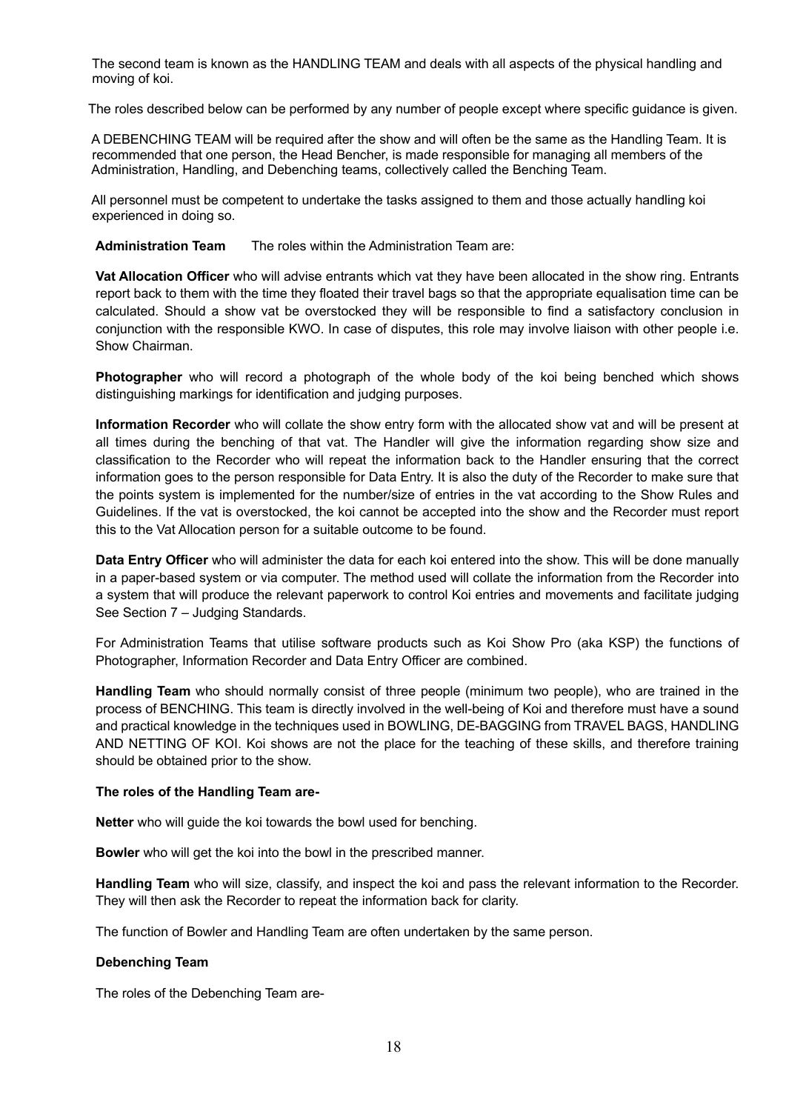The second team is known as the HANDLING TEAM and deals with all aspects of the physical handling and moving of koi.

The roles described below can be performed by any number of people except where specific guidance is given.

 A DEBENCHING TEAM will be required after the show and will often be the same as the Handling Team. It is recommended that one person, the Head Bencher, is made responsible for managing all members of the Administration, Handling, and Debenching teams, collectively called the Benching Team.

 All personnel must be competent to undertake the tasks assigned to them and those actually handling koi experienced in doing so.

**Administration Team** The roles within the Administration Team are:

**Vat Allocation Officer** who will advise entrants which vat they have been allocated in the show ring. Entrants report back to them with the time they floated their travel bags so that the appropriate equalisation time can be calculated. Should a show vat be overstocked they will be responsible to find a satisfactory conclusion in conjunction with the responsible KWO. In case of disputes, this role may involve liaison with other people i.e. Show Chairman.

**Photographer** who will record a photograph of the whole body of the koi being benched which shows distinguishing markings for identification and judging purposes.

**Information Recorder** who will collate the show entry form with the allocated show vat and will be present at all times during the benching of that vat. The Handler will give the information regarding show size and classification to the Recorder who will repeat the information back to the Handler ensuring that the correct information goes to the person responsible for Data Entry. It is also the duty of the Recorder to make sure that the points system is implemented for the number/size of entries in the vat according to the Show Rules and Guidelines. If the vat is overstocked, the koi cannot be accepted into the show and the Recorder must report this to the Vat Allocation person for a suitable outcome to be found.

**Data Entry Officer** who will administer the data for each koi entered into the show. This will be done manually in a paper-based system or via computer. The method used will collate the information from the Recorder into a system that will produce the relevant paperwork to control Koi entries and movements and facilitate judging See Section 7 – Judging Standards.

For Administration Teams that utilise software products such as Koi Show Pro (aka KSP) the functions of Photographer, Information Recorder and Data Entry Officer are combined.

**Handling Team** who should normally consist of three people (minimum two people), who are trained in the process of BENCHING. This team is directly involved in the well-being of Koi and therefore must have a sound and practical knowledge in the techniques used in BOWLING, DE-BAGGING from TRAVEL BAGS, HANDLING AND NETTING OF KOI. Koi shows are not the place for the teaching of these skills, and therefore training should be obtained prior to the show.

### **The roles of the Handling Team are-**

**Netter** who will guide the koi towards the bowl used for benching.

**Bowler** who will get the koi into the bowl in the prescribed manner.

**Handling Team** who will size, classify, and inspect the koi and pass the relevant information to the Recorder. They will then ask the Recorder to repeat the information back for clarity.

The function of Bowler and Handling Team are often undertaken by the same person.

### **Debenching Team**

The roles of the Debenching Team are-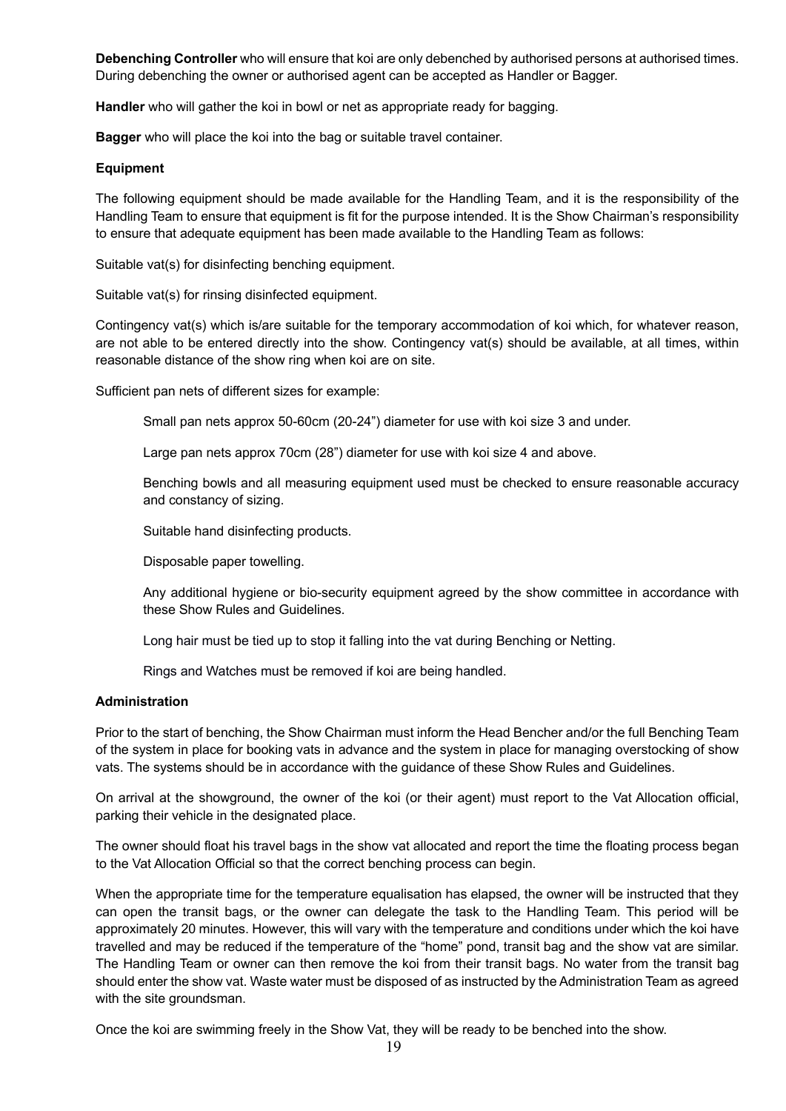**Debenching Controller** who will ensure that koi are only debenched by authorised persons at authorised times. During debenching the owner or authorised agent can be accepted as Handler or Bagger.

**Handler** who will gather the koi in bowl or net as appropriate ready for bagging.

**Bagger** who will place the koi into the bag or suitable travel container.

#### **Equipment**

The following equipment should be made available for the Handling Team, and it is the responsibility of the Handling Team to ensure that equipment is fit for the purpose intended. It is the Show Chairman's responsibility to ensure that adequate equipment has been made available to the Handling Team as follows:

Suitable vat(s) for disinfecting benching equipment.

Suitable vat(s) for rinsing disinfected equipment.

Contingency vat(s) which is/are suitable for the temporary accommodation of koi which, for whatever reason, are not able to be entered directly into the show. Contingency vat(s) should be available, at all times, within reasonable distance of the show ring when koi are on site.

Sufficient pan nets of different sizes for example:

Small pan nets approx 50-60cm (20-24") diameter for use with koi size 3 and under.

Large pan nets approx 70cm (28") diameter for use with koi size 4 and above.

Benching bowls and all measuring equipment used must be checked to ensure reasonable accuracy and constancy of sizing.

Suitable hand disinfecting products.

Disposable paper towelling.

Any additional hygiene or bio-security equipment agreed by the show committee in accordance with these Show Rules and Guidelines.

Long hair must be tied up to stop it falling into the vat during Benching or Netting.

Rings and Watches must be removed if koi are being handled.

#### **Administration**

Prior to the start of benching, the Show Chairman must inform the Head Bencher and/or the full Benching Team of the system in place for booking vats in advance and the system in place for managing overstocking of show vats. The systems should be in accordance with the guidance of these Show Rules and Guidelines.

On arrival at the showground, the owner of the koi (or their agent) must report to the Vat Allocation official, parking their vehicle in the designated place.

The owner should float his travel bags in the show vat allocated and report the time the floating process began to the Vat Allocation Official so that the correct benching process can begin.

When the appropriate time for the temperature equalisation has elapsed, the owner will be instructed that they can open the transit bags, or the owner can delegate the task to the Handling Team. This period will be approximately 20 minutes. However, this will vary with the temperature and conditions under which the koi have travelled and may be reduced if the temperature of the "home" pond, transit bag and the show vat are similar. The Handling Team or owner can then remove the koi from their transit bags. No water from the transit bag should enter the show vat. Waste water must be disposed of as instructed by the Administration Team as agreed with the site groundsman.

Once the koi are swimming freely in the Show Vat, they will be ready to be benched into the show.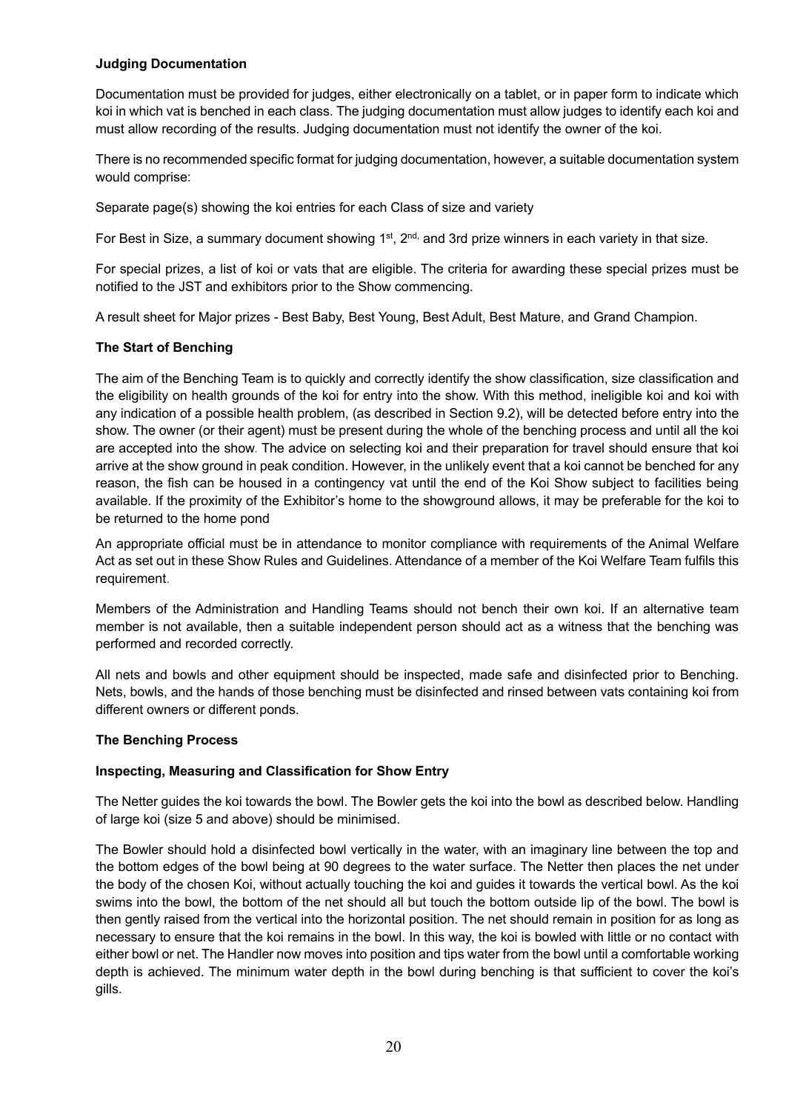## **Judging Documentation**

Documentation must be provided for judges, either electronically on a tablet, or in paper form to indicate which koi in which vat is benched in each class. The judging documentation must allow judges to identify each koi and must allow recording of the results. Judging documentation must not identify the owner of the koi.

There is no recommended specific format for judging documentation, however, a suitable documentation system would comprise:

Separate page(s) showing the koi entries for each Class of size and variety

For Best in Size, a summary document showing 1<sup>st</sup>, 2<sup>nd,</sup> and 3rd prize winners in each variety in that size.

For special prizes, a list of koi or vats that are eligible. The criteria for awarding these special prizes must be notified to the JST and exhibitors prior to the Show commencing.

A result sheet for Major prizes - Best Baby, Best Young, Best Adult, Best Mature, and Grand Champion.

## **The Start of Benching**

The aim of the Benching Team is to quickly and correctly identify the show classification, size classification and the eligibility on health grounds of the koi for entry into the show. With this method, ineligible koi and koi with any indication of a possible health problem, (as described in Section 9.2), will be detected before entry into the show. The owner (or their agent) must be present during the whole of the benching process and until all the koi are accepted into the show. The advice on selecting koi and their preparation for travel should ensure that koi arrive at the show ground in peak condition. However, in the unlikely event that a koi cannot be benched for any reason, the fish can be housed in a contingency vat until the end of the Koi Show subject to facilities being available. If the proximity of the Exhibitor's home to the showground allows, it may be preferable for the koi to be returned to the home pond

An appropriate official must be in attendance to monitor compliance with requirements of the Animal Welfare Act as set out in these Show Rules and Guidelines. Attendance of a member of the Koi Welfare Team fulfils this requirement.

Members of the Administration and Handling Teams should not bench their own koi. If an alternative team member is not available, then a suitable independent person should act as a witness that the benching was performed and recorded correctly.

All nets and bowls and other equipment should be inspected, made safe and disinfected prior to Benching. Nets, bowls, and the hands of those benching must be disinfected and rinsed between vats containing koi from different owners or different ponds.

### **The Benching Process**

### **Inspecting, Measuring and Classification for Show Entry**

The Netter guides the koi towards the bowl. The Bowler gets the koi into the bowl as described below. Handling of large koi (size 5 and above) should be minimised.

The Bowler should hold a disinfected bowl vertically in the water, with an imaginary line between the top and the bottom edges of the bowl being at 90 degrees to the water surface. The Netter then places the net under the body of the chosen Koi, without actually touching the koi and guides it towards the vertical bowl. As the koi swims into the bowl, the bottom of the net should all but touch the bottom outside lip of the bowl. The bowl is then gently raised from the vertical into the horizontal position. The net should remain in position for as long as necessary to ensure that the koi remains in the bowl. In this way, the koi is bowled with little or no contact with either bowl or net. The Handler now moves into position and tips water from the bowl until a comfortable working depth is achieved. The minimum water depth in the bowl during benching is that sufficient to cover the koi's gills.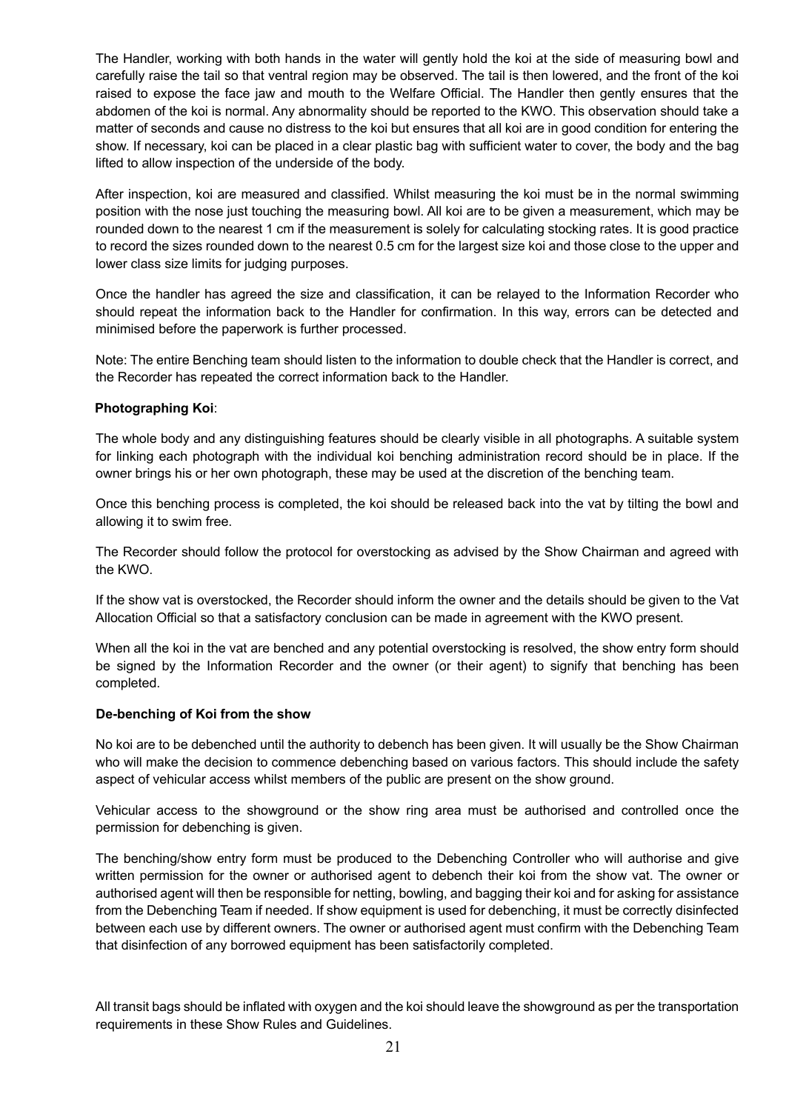The Handler, working with both hands in the water will gently hold the koi at the side of measuring bowl and carefully raise the tail so that ventral region may be observed. The tail is then lowered, and the front of the koi raised to expose the face jaw and mouth to the Welfare Official. The Handler then gently ensures that the abdomen of the koi is normal. Any abnormality should be reported to the KWO. This observation should take a matter of seconds and cause no distress to the koi but ensures that all koi are in good condition for entering the show. If necessary, koi can be placed in a clear plastic bag with sufficient water to cover, the body and the bag lifted to allow inspection of the underside of the body.

After inspection, koi are measured and classified. Whilst measuring the koi must be in the normal swimming position with the nose just touching the measuring bowl. All koi are to be given a measurement, which may be rounded down to the nearest 1 cm if the measurement is solely for calculating stocking rates. It is good practice to record the sizes rounded down to the nearest 0.5 cm for the largest size koi and those close to the upper and lower class size limits for judging purposes.

Once the handler has agreed the size and classification, it can be relayed to the Information Recorder who should repeat the information back to the Handler for confirmation. In this way, errors can be detected and minimised before the paperwork is further processed.

Note: The entire Benching team should listen to the information to double check that the Handler is correct, and the Recorder has repeated the correct information back to the Handler.

### **Photographing Koi**:

The whole body and any distinguishing features should be clearly visible in all photographs. A suitable system for linking each photograph with the individual koi benching administration record should be in place. If the owner brings his or her own photograph, these may be used at the discretion of the benching team.

Once this benching process is completed, the koi should be released back into the vat by tilting the bowl and allowing it to swim free.

The Recorder should follow the protocol for overstocking as advised by the Show Chairman and agreed with the KWO.

If the show vat is overstocked, the Recorder should inform the owner and the details should be given to the Vat Allocation Official so that a satisfactory conclusion can be made in agreement with the KWO present.

When all the koi in the vat are benched and any potential overstocking is resolved, the show entry form should be signed by the Information Recorder and the owner (or their agent) to signify that benching has been completed.

#### **De-benching of Koi from the show**

No koi are to be debenched until the authority to debench has been given. It will usually be the Show Chairman who will make the decision to commence debenching based on various factors. This should include the safety aspect of vehicular access whilst members of the public are present on the show ground.

Vehicular access to the showground or the show ring area must be authorised and controlled once the permission for debenching is given.

The benching/show entry form must be produced to the Debenching Controller who will authorise and give written permission for the owner or authorised agent to debench their koi from the show vat. The owner or authorised agent will then be responsible for netting, bowling, and bagging their koi and for asking for assistance from the Debenching Team if needed. If show equipment is used for debenching, it must be correctly disinfected between each use by different owners. The owner or authorised agent must confirm with the Debenching Team that disinfection of any borrowed equipment has been satisfactorily completed.

All transit bags should be inflated with oxygen and the koi should leave the showground as per the transportation requirements in these Show Rules and Guidelines.